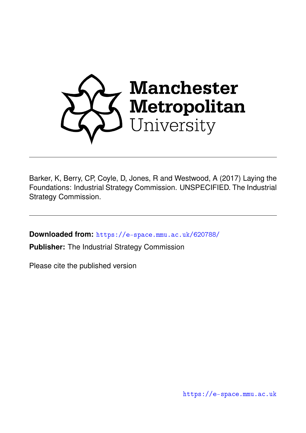

Barker, K, Berry, CP, Coyle, D, Jones, R and Westwood, A (2017) Laying the Foundations: Industrial Strategy Commission. UNSPECIFIED. The Industrial Strategy Commission.

**Downloaded from:** <https://e-space.mmu.ac.uk/620788/>

**Publisher:** The Industrial Strategy Commission

Please cite the published version

<https://e-space.mmu.ac.uk>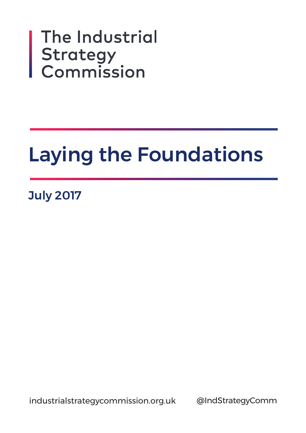The Industrial Strategy<br>Commission

# Laying the Foundations

July 2017

industrialstrategycommission.org.uk @IndStrategyComm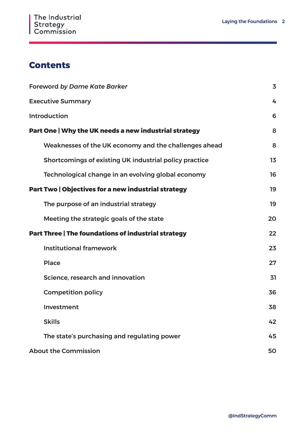### **Contents**

| <b>Foreword by Dame Kate Barker</b>                    | 3  |
|--------------------------------------------------------|----|
| <b>Executive Summary</b>                               | 4  |
| <b>Introduction</b>                                    | 6  |
| Part One   Why the UK needs a new industrial strategy  | 8  |
| Weaknesses of the UK economy and the challenges ahead  | 8  |
| Shortcomings of existing UK industrial policy practice | 13 |
| Technological change in an evolving global economy     | 16 |
| Part Two   Objectives for a new industrial strategy    | 19 |
| The purpose of an industrial strategy                  | 19 |
| Meeting the strategic goals of the state               | 20 |
| Part Three   The foundations of industrial strategy    | 22 |
| <b>Institutional framework</b>                         | 23 |
| <b>Place</b>                                           | 27 |
| Science, research and innovation                       | 31 |
| <b>Competition policy</b>                              | 36 |
| Investment                                             | 38 |
| <b>Skills</b>                                          | 42 |
| The state's purchasing and regulating power            | 45 |
| <b>About the Commission</b>                            | 50 |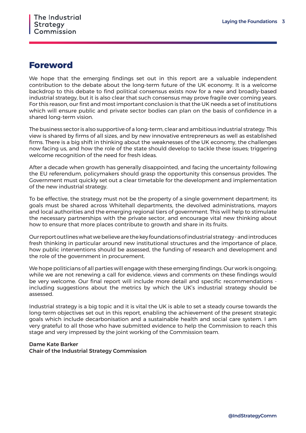### <span id="page-3-0"></span>**Foreword**

We hope that the emerging findings set out in this report are a valuable independent contribution to the debate about the long-term future of the UK economy. It is a welcome backdrop to this debate to find political consensus exists now for a new and broadly-based industrial strategy, but it is also clear that such consensus may prove fragile over coming years. For this reason, our first and most important conclusion is that the UK needs a set of institutions which will ensure public and private sector bodies can plan on the basis of confidence in a shared long-term vision.

The business sector is also supportive of a long-term, clear and ambitious industrial strategy. This view is shared by firms of all sizes, and by new innovative entrepreneurs as well as established firms. There is a big shift in thinking about the weaknesses of the UK economy, the challenges now facing us, and how the role of the state should develop to tackle these issues; triggering welcome recognition of the need for fresh ideas.

After a decade when growth has generally disappointed, and facing the uncertainty following the EU referendum, policymakers should grasp the opportunity this consensus provides. The Government must quickly set out a clear timetable for the development and implementation of the new industrial strategy.

To be effective, the strategy must not be the property of a single government department; its goals must be shared across Whitehall departments, the devolved administrations, mayors and local authorities and the emerging regional tiers of government. This will help to stimulate the necessary partnerships with the private sector, and encourage vital new thinking about how to ensure that more places contribute to growth and share in its fruits.

Our report outlines what we believe are the key foundations of industrial strategy - and introduces fresh thinking in particular around new institutional structures and the importance of place, how public interventions should be assessed, the funding of research and development and the role of the government in procurement.

We hope politicians of all parties will engage with these emerging findings. Our work is ongoing; while we are not renewing a call for evidence, views and comments on these findings would be very welcome. Our final report will include more detail and specific recommendations including suggestions about the metrics by which the UK's industrial strategy should be assessed.

Industrial strategy is a big topic and it is vital the UK is able to set a steady course towards the long-term objectives set out in this report, enabling the achievement of the present strategic goals which include decarbonisation and a sustainable health and social care system. I am very grateful to all those who have submitted evidence to help the Commission to reach this stage and very impressed by the joint working of the Commission team.

#### Dame Kate Barker

Chair of the Industrial Strategy Commission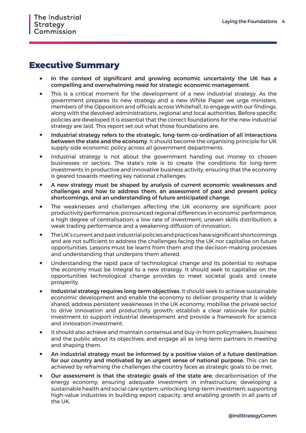### <span id="page-4-0"></span>**Executive Summary**

- In the context of significant and growing economic uncertainty the UK has a compelling and overwhelming need for strategic economic management.
- This is a critical moment for the development of a new industrial strategy. As the government prepares its new strategy and a new White Paper we urge ministers, members of the Opposition and officials across Whitehall, to engage with our findings, along with the devolved administrations, regional and local authorities. Before specific policies are developed it is essential that the correct foundations for the new industrial strategy are laid. This report set out what those foundations are.
- Industrial strategy refers to the strategic, long-term co-ordination of all interactions between the state and the economy. It should become the organising principle for UK supply-side economic policy across all government departments.
- Industrial strategy is not about the government handing out money to chosen businesses or sectors. The state's role is to create the conditions for long-term investments in productive and innovative business activity, ensuring that the economy is geared towards meeting key national challenges.
- A new strategy must be shaped by analysis of current economic weaknesses and challenges and how to address them, an assessment of past and present policy shortcomings, and an understanding of future anticipated change.
- The weaknesses and challenges affecting the UK economy are significant: poor productivity performance; pronounced regional differences in economic performance; a high degree of centralisation; a low rate of investment; uneven skills distribution; a weak trading performance and a weakening diffusion of innovation.
- The UK's current and past industrial policies and practices have significant shortcomings and are not sufficient to address the challenges facing the UK nor capitalise on future opportunities. Lessons must be learnt from them and the decision-making processes and understanding that underpins them altered.
- Understanding the rapid pace of technological change and its potential to reshape the economy must be integral to a new strategy. It should seek to capitalise on the opportunities technological change provides to meet societal goals and create prosperity.
- Industrial strategy requires long-term objectives. It should seek to achieve sustainable economic development and enable the economy to deliver prosperity that is widely shared; address persistent weaknesses in the UK economy; mobilise the private sector to drive innovation and productivity growth; establish a clear rationale for public investment to support industrial development and provide a framework for science and innovation investment.
- It should also achieve and maintain consensus and buy-in from policymakers, business and the public about its objectives, and engage all as long-term partners in meeting and shaping them.
- An industrial strategy must be informed by a positive vision of a future destination for our country and motivated by an urgent sense of national purpose. This can be achieved by reframing the challenges the country faces as strategic goals to be met.
- Our assessment is that the strategic goals of the state are: decarbonisation of the energy economy; ensuring adequate investment in infrastructure; developing a sustainable health and social care system; unlocking long-term investment; supporting high-value industries in building export capacity, and enabling growth in all parts of the UK.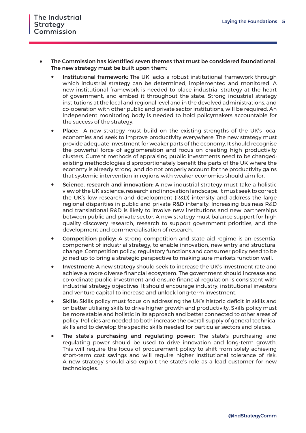- The Commission has identified seven themes that must be considered foundational. The new strategy must be built upon them:
	- Institutional framework: The UK lacks a robust institutional framework through which industrial strategy can be determined, implemented and monitored. A new institutional framework is needed to place industrial strategy at the heart of government, and embed it throughout the state. Strong industrial strategy institutions at the local and regional level and in the devolved administrations, and co-operation with other public and private sector institutions, will be required. An independent monitoring body is needed to hold policymakers accountable for the success of the strategy.
	- Place: A new strategy must build on the existing strengths of the UK's local economies and seek to improve productivity everywhere. The new strategy must provide adequate investment for weaker parts of the economy. It should recognise the powerful force of agglomeration and focus on creating high productivity clusters. Current methods of appraising public investments need to be changed: existing methodologies disproportionately benefit the parts of the UK where the economy is already strong, and do not properly account for the productivity gains that systemic intervention in regions with weaker economies should aim for.
	- Science, research and innovation: A new industrial strategy must take a holistic view of the UK's science, research and innovation landscape. It must seek to correct the UK's low research and development (R&D) intensity and address the large regional disparities in public and private R&D intensity. Increasing business R&D and translational R&D is likely to involve new institutions and new partnerships between public and private sector. A new strategy must balance support for high quality discovery research, research to support government priorities, and the development and commercialisation of research.
	- Competition policy: A strong competition and state aid regime is an essential component of industrial strategy, to enable innovation, new entry and structural change. Competition policy, regulatory functions and consumer policy need to be joined up to bring a strategic perspective to making sure markets function well.
	- Investment: A new strategy should seek to increase the UK's investment rate and achieve a more diverse financial ecosystem. The government should increase and co-ordinate public investment and ensure financial regulation is consistent with industrial strategy objectives. It should encourage industry, institutional investors and venture capital to increase and unlock long-term investment.
	- Skills: Skills policy must focus on addressing the UK's historic deficit in skills and on better utilising skills to drive higher growth and productivity. Skills policy must be more stable and holistic in its approach and better connected to other areas of policy. Policies are needed to both increase the overall supply of general technical skills and to develop the specific skills needed for particular sectors and places.
	- The state's purchasing and regulating power: The state's purchasing and regulating power should be used to drive innovation and long-term growth. This will require the focus of procurement policy to shift from solely achieving short-term cost savings and will require higher institutional tolerance of risk. A new strategy should also exploit the state's role as a lead customer for new technologies.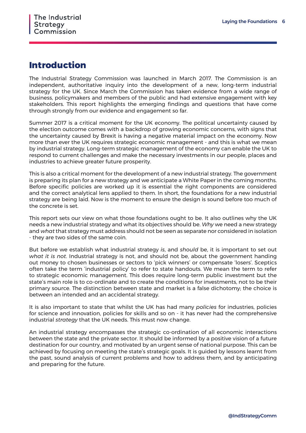### <span id="page-6-0"></span>**Introduction**

The Industrial Strategy Commission was launched in March 2017. The Commission is an independent, authoritative inquiry into the development of a new, long-term industrial strategy for the UK. Since March the Commission has taken evidence from a wide range of business, policymakers and members of the public and had extensive engagement with key stakeholders. This report highlights the emerging findings and questions that have come through strongly from our evidence and engagement so far.

Summer 2017 is a critical moment for the UK economy. The political uncertainty caused by the election outcome comes with a backdrop of growing economic concerns, with signs that the uncertainty caused by Brexit is having a negative material impact on the economy. Now more than ever the UK requires strategic economic management - and this is what we mean by industrial strategy. Long-term strategic management of the economy can enable the UK to respond to current challenges and make the necessary investments in our people, places and industries to achieve greater future prosperity.

This is also a critical moment for the development of a new industrial strategy. The government is preparing its plan for a new strategy and we anticipate a White Paper in the coming months. Before specific policies are worked up it is essential the right components are considered and the correct analytical lens applied to them. In short, the foundations for a new industrial strategy are being laid. Now is the moment to ensure the design is sound before too much of the concrete is set.

This report sets our view on what those foundations ought to be. It also outlines why the UK needs a new industrial strategy and what its objectives should be. *Why* we need a new strategy and *what* that strategy must address should not be seen as separate nor considered in isolation - they are two sides of the same coin.

But before we establish what industrial strategy *is*, and *should* be, it is important to set out *what it is not*. Industrial strategy is not, and should not be, about the government handing out money to chosen businesses or sectors to 'pick winners' or compensate 'losers'. Sceptics often take the term 'industrial policy' to refer to state handouts. We mean the term to refer to strategic economic management. This does require long-term public investment but the state's main role is to co-ordinate and to create the conditions for investments, not to be their primary source. The distinction between state and market is a false dichotomy; the choice is between an intended and an accidental strategy.

It is also important to state that whilst the UK has had many *policies* for industries, policies for science and innovation, policies for skills and so on - it has never had the comprehensive industrial *strategy* that the UK needs. This must now change.

An industrial strategy encompasses the strategic co-ordination of all economic interactions between the state and the private sector. It should be informed by a positive vision of a future destination for our country, and motivated by an urgent sense of national purpose. This can be achieved by focusing on meeting the state's strategic goals. It is guided by lessons learnt from the past, sound analysis of current problems and how to address them, and by anticipating and preparing for the future.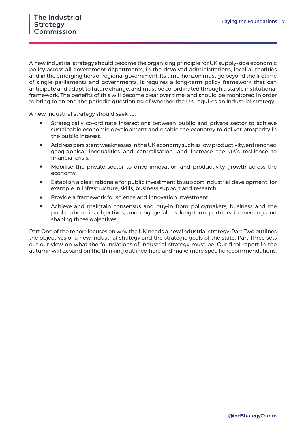A new industrial strategy should become the organising principle for UK supply-side economic policy across all government departments, in the devolved administrations, local authorities and in the emerging tiers of regional government. Its time-horizon must go beyond the lifetime of single parliaments and governments. It requires a long-term policy framework that can anticipate and adapt to future change, and must be co-ordinated through a stable institutional framework. The benefits of this will become clear over time, and should be monitored in order to bring to an end the periodic questioning of whether the UK requires an industrial strategy.

A new industrial strategy should seek to:

- Strategically co-ordinate interactions between public and private sector to achieve sustainable economic development and enable the economy to deliver prosperity in the public interest.
- Address persistent weaknesses in the UK economy such as low productivity, entrenched geographical inequalities and centralisation, and increase the UK's resilience to financial crisis.
- Mobilise the private sector to drive innovation and productivity growth across the economy.
- Establish a clear rationale for public investment to support industrial development, for example in infrastructure, skills, business support and research.
- Provide a framework for science and innovation investment.<br>• Achieve and maintain consensus and buy-in from policyn
- Achieve and maintain consensus and buy-in from policymakers, business and the public about its objectives, and engage all as long-term partners in meeting and shaping those objectives.

Part One of the report focuses on why the UK needs a new industrial strategy. Part Two outlines the objectives of a new industrial strategy and the strategic goals of the state. Part Three sets out our view on what the foundations of industrial strategy must be. Our final report in the autumn will expand on the thinking outlined here and make more specific recommendations.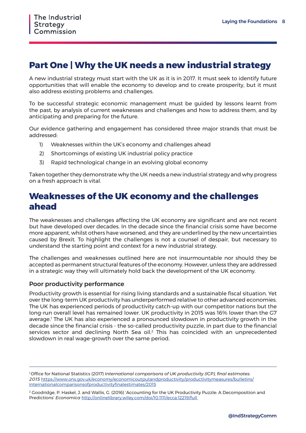### <span id="page-8-0"></span>**Part One | Why the UK needs a new industrial strategy**

A new industrial strategy must start with the UK as it is in 2017. It must seek to identify future opportunities that will enable the economy to develop and to create prosperity, but it must also address existing problems and challenges.

To be successful strategic economic management must be guided by lessons learnt from the past, by analysis of current weaknesses and challenges and how to address them, and by anticipating and preparing for the future.

Our evidence gathering and engagement has considered three major strands that must be addressed:

- 1) Weaknesses within the UK's economy and challenges ahead
- 2) Shortcomings of existing UK industrial policy practice
- 3) Rapid technological change in an evolving global economy

Taken together they demonstrate why the UK needs a new industrial strategy and why progress on a fresh approach is vital.

### **Weaknesses of the UK economy and the challenges ahead**

The weaknesses and challenges affecting the UK economy are significant and are not recent but have developed over decades. In the decade since the financial crisis some have become more apparent, whilst others have worsened, and they are underlined by the new uncertainties caused by Brexit. To highlight the challenges is not a counsel of despair, but necessary to understand the starting point and context for a new industrial strategy.

The challenges and weaknesses outlined here are not insurmountable nor should they be accepted as permanent structural features of the economy. However, unless they are addressed in a strategic way they will ultimately hold back the development of the UK economy.

#### Poor productivity performance

Productivity growth is essential for rising living standards and a sustainable fiscal situation. Yet over the long-term UK productivity has underperformed relative to other advanced economies. The UK has experienced periods of productivity catch-up with our competitor nations but the long-run overall level has remained lower. UK productivity in 2015 was 16% lower than the G7 average.' The UK has also experienced a pronounced slowdown in productivity growth in the decade since the financial crisis - the so-called productivity puzzle, in part due to the financial services sector and declining North Sea oil.<sup>2</sup> This has coincided with an unprecedented slowdown in real wage-growth over the same period.

<sup>1</sup> Office for National Statistics (2017) *International comparisons of UK productivity (ICP), final estimates: 2015* [https://www.ons.gov.uk/economy/economicoutputandproductivity/productivitymeasures/bulletins/](https://www.ons.gov.uk/economy/economicoutputandproductivity/productivitymeasures/bulletins/internationalcomparisonsofproductivityfinalestimates/2015) [internationalcomparisonsofproductivityfinalestimates/2015](https://www.ons.gov.uk/economy/economicoutputandproductivity/productivitymeasures/bulletins/internationalcomparisonsofproductivityfinalestimates/2015)

<sup>2</sup> Goodridge, P. Haskel, J. and Wallis, G. (2016) 'Accounting for the UK Productivity Puzzle: A Decomposition and Predictions' *Economica* <http://onlinelibrary.wiley.com/doi/10.1111/ecca.12219/full>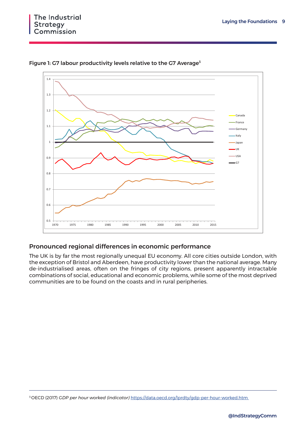



Figure 1: G7 labour productivity levels relative to the G7 Average3 **Figure 1: G7 labour productivity levels relative to the G7 Average<sup>3</sup>**

#### Pronounced regional differences in economic performance

The UK is by far the most regionally unequal EU economy. All core cities outside London, with the exception of Bristol and Aberdeen, have productivity lower than the national average. Many are exception of energy and most accomputation, have produced in ground than the numerial areas gormany combinations of social, educational and economic problems, while some of the most deprived communities are to be found on the coasts and in rural peripheries.

<sup>3</sup> OECD (2017) *GDP per hour worked (indicator) <u>https://data.oecd.org/lprdty/gdp-per-hour-worked.htm.</u><br>.*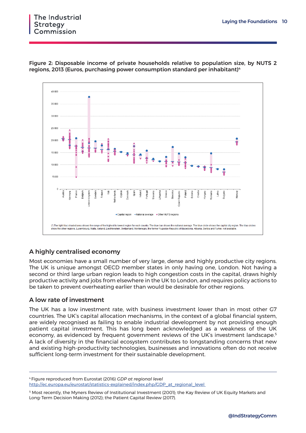#### The Industrial **Strategy** Commission



Figure 2: Disposable income of private households relative to population size, by NUTS 2 regions, 2013 (Euros, purchasing power consumption standard per inhabitant)<sup>4</sup> **Figure 2: Disposable income of private households relative to population size, by NUTS 2 regions, 2013 Figure 2: Disposable income of private households relative**<br>were also also the consumption in a consumption of the local

### A highly centralised economy **A highly centralised economy**

Most economies have a small number of very large, dense and highly productive city regions. The UK is unique amongst OECD member states in only having one, London. Not having a second or third large urban region leads to high congestion costs in the capital, draws highly  $\frac{1}{2}$ productive activity and jobs from elsewhere in the UK to London, and requires policy actions to productive activity and jobs nonreisewhere in the OK to London, and requires policy actions to<br>be taken to prevent overheating earlier than would be desirable for other regions. productive  $\overline{U}$  is a set of  $\overline{U}$  to  $\overline{U}$  to  $\overline{U}$  and  $\overline{U}$  and  $\overline{U}$  and  $\overline{U}$  and  $\overline{U}$  and  $\overline{U}$  and  $\overline{U}$  and  $\overline{U}$  and  $\overline{U}$  and  $\overline{U}$  and  $\overline{U}$  and  $\overline{U}$  and  $\overline{U}$  a

#### A low rate of investment **than** would be a reaching earlier than would be a reach than would be a reach than  $\mathbf{r}$

The UK has a low investment rate, with business investment lower than in most other G7 Incountries. The UK's capital allocation mechanisms, in the context of a global financial system, are widely recognised as failing to enable industrial development by not providing enough patient capital investment. This has long been acknowledged as a weakness of the UK economy, as evidenced by frequent government reviews of the UK's investment landscape.<sup>5</sup> A lack of diversity in the financial ecosystem contributes to longstanding concerns that new<br>and avisting high productivity technologies, businesses and inquations after de not reseive and existing high-productivity technologies, businesses and innovations often do not receive and existing high productivity technologies, businesses and immodelens often do not result<br>sufficient long-term investment for their sustainable development. economic rong term investment for their sustainable development.

 $\mathcal{A}$  and the financial contribution  $\mathcal{A}$  and the financial contribution  $\mathcal{A}$ 

<sup>&</sup>lt;sup>4</sup> Figure reproduced from Eurostat (2016) *GDP at regional level* http://ec.europa.eu/eurostat/statistics-explained/index.php/GDP\_at\_regional\_level

Long-Term Decision Making (2012); the Patient Capital Review (2017).<br>Iong-Term Decision Making (2012); the Patient Capital Review (2017). 5 Most recently, the Myners Review of Institutional Investment (2001); the Kay Review of UK Equity Markets and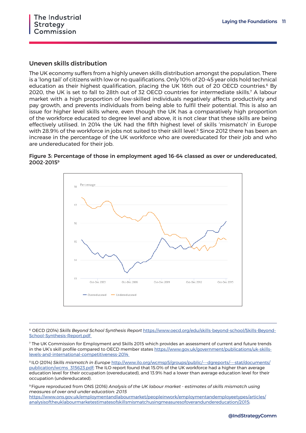#### Uneven skills distribution  $\blacksquare$

The UK economy suffers from a highly uneven skills distribution amongst the population. There is a 'long tail' of citizens with low or no qualifications. Only 10% of 20-45 year olds hold technical education as their highest qualification, placing the UK 16th out of 20 OECD countries. $^6$  By 2020, the UK is set to fall to 28th out of 32 OECD countries for intermediate skills.<sup>7</sup> A labour market with a high proportion of low-skilled individuals negatively affects productivity and<br>
productivity and proportion pay growth, and prevents individuals from being able to fulfil their potential. This is also an pay growth, and prevents individuals non-being able to full if their potential. This is also an<br>issue for higher level skills where, even though the UK has a comparatively high proportion ssue for higher fever skills where, everr thought the ort has a comparatively high proportion. effectively utilised. In 2014 the UK had the fifth highest level of skills 'mismatch' in Europe with 28.9% of the workforce in jobs not suited to their skill level. $^8$  Since 2012 there has been an increase in the percentage of the UK workforce who are overeducated for their job and who are undereducated for their job.  $\overline{\phantom{a}}$ 

#### Figure 3: Percentage of those in employment aged 16-64 classed as over or undereducated, 2002-20159



<sup>6</sup> OECD (2014) Skills Beyond School Synthesis Report <u>https://www.oecd.org/edu/skills-beyond-school/Skills-Beyond-</u><br>School Synthesis Pepert pdf School-Synthesis-Report.pdf  $\frac{1}{\sqrt{2}}$ 

7 The UK Commission for Employment and Skills 2015 which provides an assessment of current and future trends The UK Commission for Employment and Skills 2015 which provides an assessment of current and future trends<br>in the UK's skill profile compared to OECD member states <u>https://www.gov.uk/government/publications/uk-skills-</u><br>la [levels-and-international-competitiveness-2014](https://www.gov.uk/government/publications/uk-skills-levels-and-international-competitiveness-2014)  station international componation cost of the ILO report of the UK workforce **EQTIME** 

8 ILO (2014) *Skills mismatch in Europe* [http://www.ilo.org/wcmsp5/groups/public/---dgreports/---stat/documents/](http://www.ilo.org/wcmsp5/groups/public/---dgreports/---stat/documents/publication/wcms_315623.pdf) [publication/wcms\\_315623.pdf;](http://www.ilo.org/wcmsp5/groups/public/---dgreports/---stat/documents/publication/wcms_315623.pdf) The ILO report found that 15.0% of the UK workforce had a higher than average<br>education level for their accupation (unneducated). and 17.0% had a lawer than average advantise layel for the education level for their occupation (overeducated), and 13.9% had a lower than average education level for their<br>escupation (undereducated) occupation (undereducated). 2014) *Skills mismatch in Europe http://www.ilo.org/wcmsp5/groups/public/---dgreports/---stat/documen measures measures of the measures of the measures of the measures of the measures of the measures of the measures of the measures of the measures of the measures of the measures of the measures of the measures of the me* 

9 Figure reproduced from ONS (2016) *Analysis of the UK labour market - estimates of skills mismatch using measures of over and under education: 2015* re reproduced from ONS (2016) Andiysis of the UK Idbour market - estimates of skills mismatch using  $\epsilon$ 

medsures or over und under education: 2015<br><u>https://www.ons.gov.uk/employmentandlabourmarket/peopleinwork/employmentandemployeetypes/articles</u>/ [analysisoftheuklabourmarketestimatesofskillsmismatchusingmeasuresofoverandundereducation/2015;](https://www.ons.gov.uk/employmentandlabourmarket/peopleinwork/employmentandemployeetypes/articles/analysisoftheuklabourmarketestimatesofskillsmismatchusingmeasuresofoverandundereducation/2015)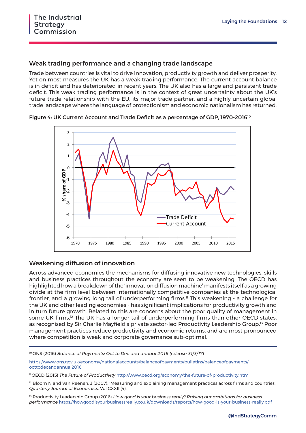#### Weak trading performance and a changing trade landscape

Trade between countries is vital to drive innovation, productivity growth and deliver prosperity. Yet on most measures the UK has a weak trading performance. The current account balance is in deficit and has deteriorated in recent years. The UK also has a large and persistent trade uncertainty and the content of the content of the context of great uncertainty about the UK's deficit. This weak trading performance is in the context of great uncertainty about the UK's action the treat maging performance to in the context of great ancertainty accuration one trade landscape where the language of protectionism and economic nationalism has returned.





### Weakening diffusion of innovation **Weakening diffusion of innovation**

Across advanced economies the mechanisms for diffusing innovative new technologies, skills refess datanced economies the mechanisms for amasing innovative new technologies, stans<br>and business practices throughout the economy are seen to be weakening. The OECD has and Business practices throughout the economy are seen to be weakening. The OECD has<br>highlighted how a breakdown of the 'innovation diffusion machine' manifests itself as a growing Inginighted how a breakdown of the innovation all assormachine. Than it essent as a growing<br>divide at the firm level between internationally competitive companies at the technological and at the firm level between internationally competitive companies at the technological<br>frontier, and a growing long tail of underperforming firms.<sup>11</sup> This weakening - a challenge for frontier, and a growing fong tail of underperforming firms. This weakening - a challenge for<br>the UK and other leading economies - has significant implications for productivity growth and in turn future growth. Related to this are concerns about the poor quality of management in  $\frac{1}{2}$ some UK firms.<sup>12</sup> The UK has a longer tail of underperforming firms than other OECD states, as recognised by Sir Charlie Mayfield's private sector-led Productivity Leadership Group.13 Poor management practices reduce productivity and economic returns, and are most pronounced where competition is weak and corporate governance sub-optimal. eakening - a cna<br>Sweakening - a cna challen leading economies - has significant implications for productions of the state of the state of the stat <sup>10</sup> OECD (2015) *The Future of Productivity* http://www.oecd.org/economy/the-future-of-productivity.htm <sup>11</sup> Bloom N and Van Reenen, J (2007), 'Measuring and explaining management practices across firms and 

<sup>10</sup> ONS (2016) *Balance of Payments: Oct to Dec and annual 2016 (release 31/3/17)* 

countries', *Quarterly Journal of Economics*, Vol CXXII (4).

[https://www.ons.gov.uk/economy/nationalaccounts/balanceofpayments/bulletins/balanceofpayments/](https://www.ons.gov.uk/economy/nationalaccounts/balanceofpayments/bulletins/balanceofpayments/octtodecandannual2016) [octtodecandannual2016](https://www.ons.gov.uk/economy/nationalaccounts/balanceofpayments/bulletins/balanceofpayments/octtodecandannual2016) 

11 OECD (2015) *The Future of Productivity* <http://www.oecd.org/economy/the-future-of-productivity.htm>

 $12$  Bloom N and Van Reenen, J (2007), 'Measuring and explaining management practices across firms and countries', *Quarterly Journal of Economics*, Vol CXXII (4).

13 Productivity Leadership Group (2016) *How good is your business really? Raising our ambitions for business performance* <https://howgoodisyourbusinessreally.co.uk/downloads/reports/how-good-is-your-business-really.pdf>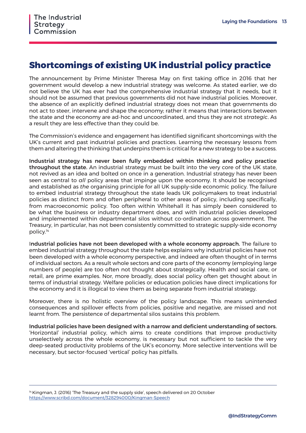### <span id="page-13-0"></span>**Shortcomings of existing UK industrial policy practice**

The announcement by Prime Minister Theresa May on first taking office in 2016 that her government would develop a new industrial strategy was welcome. As stated earlier, we do not believe the UK has ever had the comprehensive industrial strategy that it needs, but it should not be assumed that previous governments did not have industrial policies. Moreover, the absence of an explicitly defined industrial strategy does not mean that governments do not act to steer, intervene and shape the economy; rather it means that interactions between the state and the economy are ad-hoc and uncoordinated, and thus they are not *strategic*. As a result they are less effective than they could be.

The Commission's evidence and engagement has identified significant shortcomings with the UK's current and past industrial policies and practices. Learning the necessary lessons from them and altering the thinking that underpins them is critical for a new strategy to be a success.

Industrial strategy has never been fully embedded within thinking and policy practice throughout the state. An industrial strategy must be built into the very core of the UK state, not revived as an idea and bolted on once in a generation. Industrial strategy has never been seen as central to *all* policy areas that impinge upon the economy. It should be recognised and established as *the* organising principle for all UK supply-side economic policy. The failure to embed industrial strategy throughout the state leads UK policymakers to treat industrial policies as distinct from and often peripheral to other areas of policy, including specifically, from macroeconomic policy. Too often within Whitehall it has simply been considered to be what the business or industry department does, and with industrial policies developed and implemented within departmental silos without co-ordination across government. The Treasury, in particular, has not been consistently committed to strategic supply-side economy policy.<sup>14</sup>

Industrial policies have not been developed with a whole economy approach. The failure to embed industrial strategy throughout the state helps explains why industrial policies have not been developed with a whole economy perspective, and indeed are often thought of in terms of individual sectors. As a result whole sectors and core parts of the economy (employing large numbers of people) are too often not thought about strategically. Health and social care, or retail, are prime examples. Nor, more broadly, does social policy often get thought about in terms of industrial strategy. Welfare policies or education policies have direct implications for the economy and it is illogical to view them as being separate from industrial strategy.

Moreover, there is no holistic overview of the policy landscape. This means unintended consequences and spillover effects from policies, positive and negative, are missed and not learnt from. The persistence of departmental silos sustains this problem.

Industrial policies have been designed with a narrow and deficient understanding of sectors. 'Horizontal' industrial policy, which aims to create conditions that improve productivity unselectively across the whole economy, is necessary but not sufficient to tackle the very deep-seated productivity problems of the UK's economy. More selective interventions will be necessary, but sector-focused 'vertical' policy has pitfalls.

<sup>14</sup> Kingman, J. (2016) 'The Treasury and the supply side', speech delivered on 20 October <https://www.scribd.com/document/328294000/Kingman-Speech>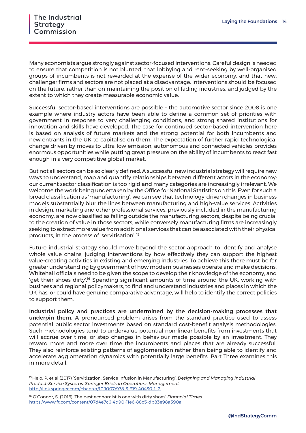Many economists argue strongly against sector-focused interventions. Careful design is needed to ensure that competition is not blunted, that lobbying and rent-seeking by well-organised groups of incumbents is not rewarded at the expense of the wider economy, and that new, challenger firms and sectors are not placed at a disadvantage. Interventions should be focused on the future, rather than on maintaining the position of fading industries, and judged by the extent to which they create measurable economic value.

Successful sector-based interventions are possible - the automotive sector since 2008 is one example where industry actors have been able to define a common set of priorities with government in response to very challenging conditions, and strong shared institutions for innovation and skills have developed. The case for continued sector-based intervention here is based on analysis of future markets and the strong potential for both incumbents and new entrants in the UK to capitalise on them. The expectation of further rapid technological change driven by moves to ultra-low emission, autonomous and connected vehicles provides enormous opportunities while putting great pressure on the ability of incumbents to react fast enough in a very competitive global market.

But not all sectors can be so clearly defined. A successful new industrial strategy will require new ways to understand, map and quantify relationships between different actors in the economy; our current sector classification is too rigid and many categories are increasingly irrelevant. We welcome the work being undertaken by the Office for National Statistics on this. Even for such a broad classification as 'manufacturing', we can see that technology-driven changes in business models substantially blur the lines between manufacturing and high-value services. Activities in design, marketing and other professional services, previously included in the manufacturing economy, are now classified as falling outside the manufacturing sectors, despite being crucial to the creation of value in those sectors, while conversely manufacturing firms are increasingly seeking to extract more value from additional services that can be associated with their physical products, in the process of 'servitisation'. 15

Future industrial strategy should move beyond the sector approach to identify and analyse whole value chains, judging interventions by how effectively they can support the highest value-creating activities in existing and emerging industries. To achieve this there must be far greater understanding by government of how modern businesses operate and make decisions. Whitehall officials need to be given the scope to develop their knowledge of the economy, and 'get their shoes dirty'.16 Spending significant amounts of time around the UK, working with business and regional policymakers, to find and understand industries and places in which the UK has, or could have genuine comparative advantage, will help to identify the correct policies to support them.

Industrial policy and practices are undermined by the decision-making processes that underpin them. A pronounced problem arises from the standard practice used to assess potential public sector investments based on standard cost-benefit analysis methodologies. Such methodologies tend to undervalue potential non-linear benefits from investments that will accrue over time, or step changes in behaviour made possible by an investment. They reward more and more over time the incumbents and places that are already successful. They also reinforce existing patterns of agglomeration rather than being able to identify and accelerate agglomeration dynamics with potentially large benefits. Part Three examines this in more detail.

<sup>15</sup> Helo, P. et al (2017) 'Servitization: Service Infusion in Manufacturing', *Designing and Managing Industrial Product-Service Systems, Springer Briefs in Operations Management*  [http://link.springer.com/chapter/10.1007/978-3-319-40430-1\\_2](http://link.springer.com/chapter/10.1007/978-3-319-40430-1_2)

<sup>16</sup> O'Connor, S. (2016) 'The best economist is one with dirty shoes' *Financial Times* <https://www.ft.com/content/07d4e7c6-4d90-11e6-88c5-db83e98a590a>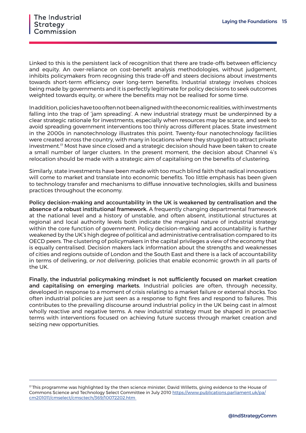Linked to this is the persistent lack of recognition that there are trade-offs between efficiency and equity. An over-reliance on cost-benefit analysis methodologies, without judgement, inhibits policymakers from recognising this trade-off and steers decisions about investments towards short-term efficiency over long-term benefits. Industrial strategy involves choices being made by governments and it is perfectly legitimate for policy decisions to seek outcomes weighted towards equity, or where the benefits may not be realised for some time.

In addition, policies have too often not been aligned with the economic realities, with investments falling into the trap of 'jam spreading'. A new industrial strategy must be underpinned by a clear strategic rationale for investments, especially when resources may be scarce, and seek to avoid spreading government interventions too thinly across different places. State investment in the 2000s in nanotechnology illustrates this point. Twenty-four nanotechnology facilities were created across the country, with many in locations where they struggled to attract private investment.17 Most have since closed and a strategic decision should have been taken to create a small number of larger clusters. In the present moment, the decision about Channel 4's relocation should be made with a strategic aim of capitalising on the benefits of clustering.

Similarly, state investments have been made with too much blind faith that radical innovations will come to market and translate into economic benefits. Too little emphasis has been given to technology transfer and mechanisms to diffuse innovative technologies, skills and business practices throughout the economy.

Policy decision-making and accountability in the UK is weakened by centralisation and the absence of a robust institutional framework. A frequently changing departmental framework at the national level and a history of unstable, and often absent, institutional structures at regional and local authority levels both indicate the marginal nature of industrial strategy within the core function of government. Policy decision-making and accountability is further weakened by the UK's high degree of political and administrative centralisation compared to its OECD peers. The clustering of policymakers in the capital privileges a view of the economy that is equally centralised. Decision makers lack information about the strengths and weaknesses of cities and regions outside of London and the South East and there is a lack of accountability in terms of delivering, *or not delivering*, policies that enable economic growth in all parts of the UK.

Finally, the industrial policymaking mindset is not sufficiently focused on market creation and capitalising on emerging markets. Industrial policies are often, through necessity, developed in response to a moment of crisis relating to a market failure or external shocks. Too often industrial policies are just seen as a response to fight fires and respond to failures. This contributes to the prevailing discourse around industrial policy in the UK being cast in almost wholly reactive and negative terms. A new industrial strategy must be shaped in proactive terms with interventions focused on achieving future success through market creation and seizing new opportunities.

<sup>&</sup>lt;sup>17</sup> This programme was highlighted by the then science minister, David Willetts, giving evidence to the House of Commons Science and Technology Select Committee in July 2010 [https://www.publications.parliament.uk/pa/](https://www.publications.parliament.uk/pa/cm201011/cmselect/cmsctech/369/10072202.htm) [cm201011/cmselect/cmsctech/369/10072202.htm](https://www.publications.parliament.uk/pa/cm201011/cmselect/cmsctech/369/10072202.htm)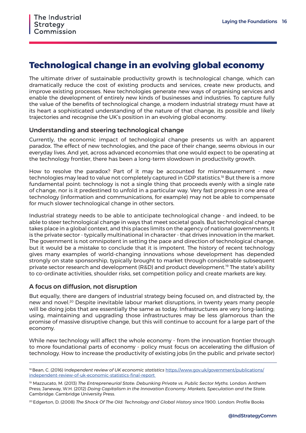### <span id="page-16-0"></span>**Technological change in an evolving global economy**

The ultimate driver of sustainable productivity growth is technological change, which can dramatically reduce the cost of existing products and services, create new products, and improve existing processes. New technologies generate new ways of organising services and enable the development of entirely new kinds of businesses and industries. To capture fully the value of the benefits of technological change, a modern industrial strategy must have at its heart a sophisticated understanding of the nature of that change, its possible and likely trajectories and recognise the UK's position in an evolving global economy.

#### Understanding and steering technological change

Currently, the economic impact of technological change presents us with an apparent paradox. The effect of new technologies, and the pace of their change, seems obvious in our everyday lives. And yet, across advanced economies that one would expect to be operating at the technology frontier, there has been a long-term slowdown in productivity growth.

How to resolve the paradox? Part of it may be accounted for mismeasurement - new technologies may lead to value not completely captured in GDP statistics.<sup>18</sup> But there is a more fundamental point: technology is not a single thing that proceeds evenly with a single rate of change, nor is it predestined to unfold in a particular way. Very fast progress in one area of technology (information and communications, for example) may not be able to compensate for much slower technological change in other sectors.

Industrial strategy needs to be able to anticipate technological change - and indeed, to be able to steer technological change in ways that meet societal goals. But technological change takes place in a global context, and this places limits on the agency of national governments. It is the private sector - typically multinational in character - that drives innovation in the market. The government is not omnipotent in setting the pace and direction of technological change, but it would be a mistake to conclude that it is impotent. The history of recent technology gives many examples of world-changing innovations whose development has depended strongly on state sponsorship, typically brought to market through considerable subsequent private sector research and development (R&D) and product development.<sup>19</sup> The state's ability to co-ordinate activities, shoulder risks, set competition policy and create markets are key.

#### A focus on diffusion, not disruption

But equally, there are dangers of industrial strategy being focused on, and distracted by, the new and novel.20 Despite inevitable labour market disruptions, in twenty years many people will be doing jobs that are essentially the same as today. Infrastructures are very long-lasting; using, maintaining and upgrading those infrastructures may be less glamorous than the promise of massive disruptive change, but this will continue to account for a large part of the economy.

While new technology will affect the whole economy - from the innovation frontier through to more foundational parts of economy - policy must focus on accelerating the diffusion of technology. How to increase the productivity of existing jobs (in the public and private sector)

<sup>18</sup> Bean, C. (2016) I*ndependent review of UK economic statistics* [https://www.gov.uk/government/publications/](https://www.gov.uk/government/publications/independent-review-of-uk-economic-statistics-final-report) [independent-review-of-uk-economic-statistics-final-report](https://www.gov.uk/government/publications/independent-review-of-uk-economic-statistics-final-report) 

<sup>19</sup> Mazzucato, M. (2013) *The Entrepreneurial State: Debunking Private vs. Public Sector Myths*. London: Anthem Press; Janeway, W.H. (2012) *Doing Capitalism in the Innovation Economy: Markets, Speculation and the State.* Cambridge: Cambridge University Press.

<sup>20</sup> Edgerton, D. (2008) *The Shock Of The Old: Technology and Global History since* 1900. London: Profile Books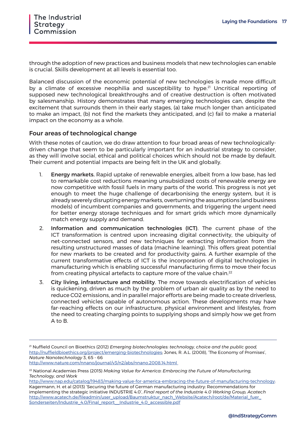through the adoption of new practices and business models that new technologies can enable is crucial. Skills development at all levels is essential too.

Balanced discussion of the economic potential of new technologies is made more difficult by a climate of excessive neophilia and susceptibility to hype.<sup>21</sup> Uncritical reporting of supposed new technological breakthroughs and of creative destruction is often motivated by salesmanship. History demonstrates that many emerging technologies can, despite the excitement that surrounds them in their early stages, (a) take much longer than anticipated to make an impact, (b) not find the markets they anticipated, and (c) fail to make a material impact on the economy as a whole.

#### Four areas of technological change

With these notes of caution, we do draw attention to four broad areas of new technologicallydriven change that seem to be particularly important for an industrial strategy to consider, as they will involve social, ethical and political choices which should not be made by default. Their current and potential impacts are being felt in the UK and globally.

- 1. Energy markets. Rapid uptake of renewable energies, albeit from a low base, has led to remarkable cost reductions meaning unsubsidized costs of renewable energy are now competitive with fossil fuels in many parts of the world. This progress is not yet enough to meet the huge challenge of decarbonising the energy system, but it is already severely disrupting energy markets, overturning the assumptions (and business models) of incumbent companies and governments, and triggering the urgent need for better energy storage techniques and for smart grids which more dynamically match energy supply and demand.
- 2. Information and communication technologies (ICT). The current phase of the ICT transformation is centred upon increasing digital connectivity, the ubiquity of net-connected sensors, and new techniques for extracting information from the resulting unstructured masses of data (machine learning). This offers great potential for new markets to be created and for productivity gains. A further example of the current transformative effects of ICT is the incorporation of digital technologies in manufacturing which is enabling successful manufacturing firms to move their focus from creating physical artefacts to capture more of the value chain.<sup>22</sup>
- 3. City living, infrastructure and mobility. The move towards electrification of vehicles is quickening, driven as much by the problem of urban air quality as by the need to reduce CO2 emissions, and in parallel major efforts are being made to create driverless, connected vehicles capable of autonomous action. These developments may have far-reaching effects on our infrastructure, physical environment and lifestyles, from the need to creating charging points to supplying shops and simply how we get from A to B.

<sup>21</sup> Nuffield Council on Bioethics (2012) *Emerging biotechnologies: technology, choice and the public good,* <http://nuffieldbioethics.org/project/emerging-biotechnologies>; Jones, R. A.L. (2008), 'The Economy of Promises', *Nature Nanotechnology* 3, 65 - 66

<http://www.nature.com/nnano/journal/v3/n2/abs/nnano.2008.14.html>

<sup>22</sup> National Academies Press (2015) *Making Value for America: Embracing the Future of Manufacturing, Technology, and Work*

<http://www.nap.edu/catalog/19483/making-value-for-america-embracing-the-future-of-manufacturing-technology>; Kagermann, H. et al (2013) 'Securing the future of German manufacturing industry: Recommendations for implementing the strategic initiative INDUSTRIE 4.0', *Final report of the Industrie 4.0 Working Group, Acatech* http://www.acatech.de/fileadmin/user\_upload/Baumstruktur\_nach\_Website/Acatech/root/de/Material\_fuer Sonderseiten/Industrie\_4.0/Final\_report\_Industrie\_4.0\_accessible.pdf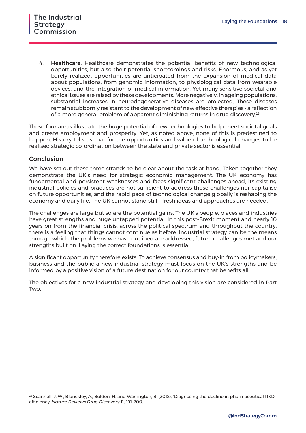4. Healthcare. Healthcare demonstrates the potential benefits of new technological opportunities, but also their potential shortcomings and risks. Enormous, and as yet barely realized, opportunities are anticipated from the expansion of medical data about populations, from genomic information, to physiological data from wearable devices, and the integration of medical information. Yet many sensitive societal and ethical issues are raised by these developments. More negatively, in ageing populations, substantial increases in neurodegenerative diseases are projected. These diseases remain stubbornly resistant to the development of new effective therapies - a reflection of a more general problem of apparent diminishing returns in drug discovery.<sup>23</sup>

These four areas illustrate the huge potential of new technologies to help meet societal goals and create employment and prosperity. Yet, as noted above, none of this is predestined to happen. History tells us that for the opportunities and value of technological changes to be realised strategic co-ordination between the state and private sector is essential.

#### Conclusion

We have set out these three strands to be clear about the task at hand. Taken together they demonstrate the UK's need for strategic economic management. The UK economy has fundamental and persistent weaknesses and faces significant challenges ahead, its existing industrial policies and practices are not sufficient to address those challenges nor capitalise on future opportunities, and the rapid pace of technological change globally is reshaping the economy and daily life. The UK cannot stand still - fresh ideas and approaches are needed.

The challenges are large but so are the potential gains. The UK's people, places and industries have great strengths and huge untapped potential. In this post-Brexit moment and nearly 10 years on from the financial crisis, across the political spectrum and throughout the country, there is a feeling that things cannot continue as before. Industrial strategy can be the means through which the problems we have outlined are addressed, future challenges met and our strengths built on. Laying the correct foundations is essential.

A significant opportunity therefore exists. To achieve consensus and buy-in from policymakers, business and the public a new industrial strategy must focus on the UK's strengths and be informed by a positive vision of a future destination for our country that benefits all.

The objectives for a new industrial strategy and developing this vision are considered in Part Two.

<sup>23</sup> Scannell, J. W., Blanckley, A., Boldon, H. and Warrington, B. (2012), 'Diagnosing the decline in pharmaceutical R&D efficiency' *Nature Reviews Drug Discovery* 11, 191-200.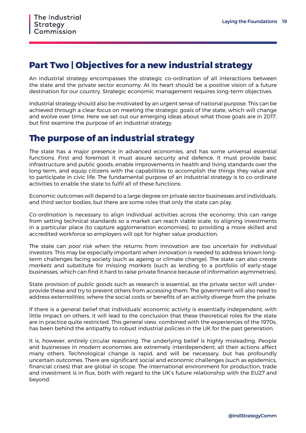### **Part Two | Objectives for a new industrial strategy**

An industrial strategy encompasses the strategic co-ordination of all interactions between the state and the private sector economy. At its heart should be a positive vision of a future destination for our country. Strategic economic management requires long-term objectives.

Industrial strategy should also be motivated by an urgent sense of national purpose. This can be achieved through a clear focus on meeting the strategic goals of the state, which will change and evolve over time. Here we set out our emerging ideas about what those goals are in 2017, but first examine the purpose of an industrial strategy.

### **The purpose of an industrial strategy**

The state has a major presence in advanced economies, and has some universal essential functions. First and foremost it must assure security and defence. It must provide basic infrastructure and public goods; enable improvements in health and living standards over the long-term, and equip citizens with the capabilities to accomplish the things they value and to participate in civic life. The fundamental purpose of an industrial strategy is to co-ordinate activities to enable the state to fulfil all of these functions.

Economic outcomes will depend to a large degree on private sector businesses and individuals, and third sector bodies; but there are some roles that only the state can play.

*Co-ordination* is necessary to align individual activities across the economy; this can range from setting technical standards so a market can reach viable scale, to aligning investments in a particular place (to capture agglomeration economies), to providing a more skilled and accredited workforce so employers will opt for higher value production.

The state can *pool risk* when the returns from innovation are too uncertain for individual investors. This may be especially important when innovation is needed to address known longterm challenges facing society (such as ageing or climate change). The state can also *create markets* and substitute for *missing markets* (such as lending to a portfolio of early-stage businesses, which can find it hard to raise private finance because of information asymmetries).

State provision of *public goods* such as research is essential, as the private sector will underprovide these and try to prevent others from accessing them. The government will also need to address *externalities*, where the social costs or benefits of an activity diverge from the private.

If there is a general belief that individuals' economic activity is essentially independent, with little impact on others, it will lead to the conclusion that these theoretical roles for the state are in practice quite restricted. This general view, combined with the experiences of the 1970s, has been behind the antipathy to robust industrial policies in the UK for the past generation.

It is, however, entirely circular reasoning. The underlying belief is highly misleading. People and businesses in modern economies are extremely interdependent; all their actions affect many others. Technological change is rapid, and will be necessary, but has profoundly uncertain outcomes. There are significant social and economic challenges (such as epidemics, financial crises) that are global in scope. The international environment for production, trade and investment is in flux, both with regard to the UK's future relationship with the EU27 and beyond.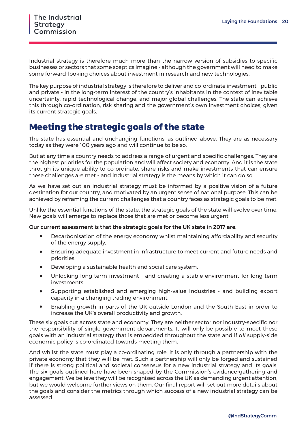<span id="page-20-0"></span>Industrial strategy is therefore much more than the narrow version of subsidies to specific businesses or sectors that some sceptics imagine - although the government will need to make some forward-looking choices about investment in research and new technologies.

The key purpose of industrial strategy is therefore to deliver and co-ordinate investment - public and private - in the long-term interest of the country's inhabitants in the context of inevitable uncertainty, rapid technological change, and major global challenges. The state can achieve this through co-ordination, risk sharing and the government's own investment choices, given its current strategic goals.

### **Meeting the strategic goals of the state**

The state has essential and unchanging functions, as outlined above. They are as necessary today as they were 100 years ago and will continue to be so.

But at any time a country needs to address a range of urgent and specific challenges. They are the highest priorities for the population and will affect society and economy. And it is the state through its unique ability to co-ordinate, share risks and make investments that can ensure these challenges are met - and industrial strategy is the means by which it can do so.

As we have set out an industrial strategy must be informed by a positive vision of a future destination for our country, and motivated by an urgent sense of national purpose. This can be achieved by reframing the current challenges that a country faces as strategic goals to be met.

Unlike the essential functions of the state, the strategic goals of the state will evolve over time. New goals will emerge to replace those that are met or become less urgent.

Our current assessment is that the strategic goals for the UK state in 2017 are:

- Decarbonisation of the energy economy whilst maintaining affordability and security of the energy supply.
- Ensuring adequate investment in infrastructure to meet current and future needs and priorities.
- Developing a sustainable health and social care system.
- Unlocking long-term investment and creating a stable environment for long-term investments.
- Supporting established and emerging high-value industries and building export capacity in a changing trading environment.
- Enabling growth in parts of the UK outside London and the South East in order to increase the UK's overall productivity and growth.

These six goals cut across state and economy. They are neither sector nor industry-specific nor the responsibility of single government departments. It will only be possible to meet these goals with an industrial strategy that is embedded throughout the state and if *all* supply-side economic policy is co-ordinated towards meeting them.

And whilst the state must play a co-ordinating role, it is only through a partnership with the private economy that they will be met. Such a partnership will only be forged and sustained if there is strong political and societal consensus for a new industrial strategy and its goals. The six goals outlined here have been shaped by the Commission's evidence-gathering and engagement. We believe they will be recognised across the UK as demanding urgent attention, but we would welcome further views on them. Our final report will set out more details about the goals and consider the metrics through which success of a new industrial strategy can be assessed.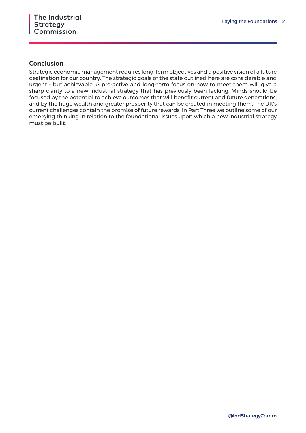#### <span id="page-21-0"></span>Conclusion

Strategic economic management requires long-term objectives and a positive vision of a future destination for our country. The strategic goals of the state outlined here are considerable and urgent - but achievable. A pro-active and long-term focus on how to meet them will give a sharp clarity to a new industrial strategy that has previously been lacking. Minds should be focused by the potential to achieve outcomes that will benefit current and future generations, and by the huge wealth and greater prosperity that can be created in meeting them. The UK's current challenges contain the promise of future rewards. In Part Three we outline some of our emerging thinking in relation to the foundational issues upon which a new industrial strategy must be built.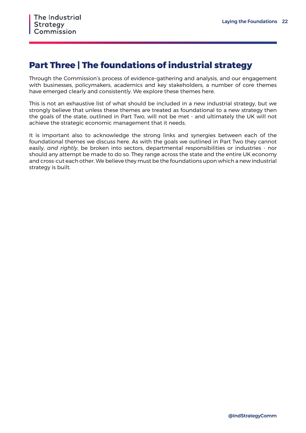### **Part Three | The foundations of industrial strategy**

Through the Commission's process of evidence-gathering and analysis, and our engagement with businesses, policymakers, academics and key stakeholders, a number of core themes have emerged clearly and consistently. We explore these themes here.

This is not an exhaustive list of what should be included in a new industrial strategy, but we strongly believe that unless these themes are treated as foundational to a new strategy then the goals of the state, outlined in Part Two, will not be met - and ultimately the UK will not achieve the strategic economic management that it needs.

It is important also to acknowledge the strong links and synergies between each of the foundational themes we discuss here. As with the goals we outlined in Part Two they cannot easily, *and rightly*, be broken into sectors, departmental responsibilities or industries - nor should any attempt be made to do so. They range across the state and the entire UK economy and cross-cut each other. We believe they must be the foundations upon which a new industrial strategy is built.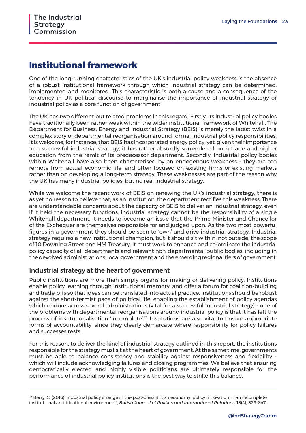### <span id="page-23-0"></span>**Institutional framework**

One of the long-running characteristics of the UK's industrial policy weakness is the absence of a robust institutional framework through which industrial strategy can be determined, implemented and monitored. This characteristic is both a cause and a consequence of the tendency in UK political discourse to marginalise the importance of industrial strategy or industrial policy as a core function of government.

The UK has two different but related problems in this regard. Firstly, its industrial policy bodies have traditionally been rather weak within the wider institutional framework of Whitehall. The Department for Business, Energy and Industrial Strategy (BEIS) is merely the latest twist in a complex story of departmental reorganisation around formal industrial policy responsibilities. It is welcome, for instance, that BEIS has incorporated energy policy; yet, given their importance to a successful industrial strategy, it has rather absurdly surrendered both trade and higher education from the remit of its predecessor department. Secondly, industrial policy bodies within Whitehall have also been characterised by an endogenous weakness - they are too remote from actual economic life, and often focused on existing firms or existing markets rather than on developing a long-term strategy. These weaknesses are part of the reason why the UK has many industrial policies, but no real industrial strategy.

While we welcome the recent work of BEIS on renewing the UK's industrial strategy, there is as yet no reason to believe that, as an institution, the department rectifies this weakness. There are understandable concerns about the capacity of BEIS to deliver an industrial strategy; even if it held the necessary functions, industrial strategy cannot be the responsibility of a single Whitehall department. It needs to become an issue that the Prime Minister and Chancellor of the Exchequer are themselves responsible for and judged upon. As the two most powerful figures in a government they should be seen to 'own' and drive industrial strategy. Industrial strategy requires a new institutional champion, but it should sit within, not outside, the scope of 10 Downing Street and HM Treasury. It must work to enhance and co-ordinate the industrial policy capacity of all departments and relevant non-departmental public bodies, including in the devolved administrations, local government and the emerging regional tiers of government.

#### Industrial strategy at the heart of government

Public institutions are more than simply organs for making or delivering policy. Institutions enable policy learning through institutional memory, and offer a forum for coalition-building and trade-offs so that ideas can be translated into actual practice. Institutions should be robust against the short-termist pace of political life, enabling the establishment of policy agendas which endure across several administrations (vital for a successful industrial strategy) - one of the problems with departmental reorganisations around industrial policy is that it has left the process of institutionalisation 'incomplete'.24 Institutions are also vital to ensure appropriate forms of accountability, since they clearly demarcate where responsibility for policy failures and successes rests.

For this reason, to deliver the kind of industrial strategy outlined in this report, the institutions responsible for the strategy must sit at the heart of government. At the same time, governments must be able to balance consistency and stability against responsiveness and flexibility which will include acknowledging failures and closing programmes. We believe that ensuring democratically elected and highly visible politicians are ultimately responsible for the performance of industrial policy institutions is the best way to strike this balance.

<sup>&</sup>lt;sup>24</sup> Berry, C. (2016) 'Industrial policy change in the post-crisis British economy: policy innovation in an incomplete institutional and ideational environment', *British Journal of Politics and International Relations*, 18(4), 829-847.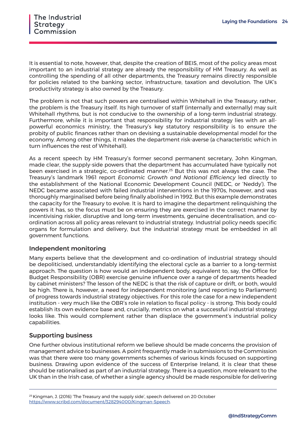<span id="page-24-0"></span>It is essential to note, however, that, despite the creation of BEIS, most of the policy areas most important to an industrial strategy are already the responsibility of HM Treasury. As well as controlling the spending of all other departments, the Treasury remains directly responsible for policies related to the banking sector, infrastructure, taxation and devolution. The UK's productivity strategy is also owned by the Treasury.

The problem is not that such powers are centralised within Whitehall in the Treasury; rather, the problem is the Treasury itself. Its high turnover of staff (internally and externally) may suit Whitehall rhythms, but is not conducive to the ownership of a long-term industrial strategy. Furthermore, while it is important that responsibility for industrial strategy lies with an allpowerful economics ministry, the Treasury's key statutory responsibility is to ensure the probity of public finances rather than on devising a sustainable developmental model for the economy. Among other things, it makes the department risk-averse (a characteristic which in turn influences the rest of Whitehall).

As a recent speech by HM Treasury's former second permanent secretary, John Kingman, made clear, the supply-side powers that the department has accumulated have typically not been exercised in a strategic, co-ordinated manner.25 But this was not always the case. The Treasury's landmark 1961 report *Economic Growth and National Efficiency* led directly to the establishment of the National Economic Development Council (NEDC, or 'Neddy'). The NEDC became associated with failed industrial interventions in the 1970s, however, and was thoroughly marginalised before being finally abolished in 1992. But this example demonstrates the capacity for the Treasury to evolve. It is hard to imagine the department relinquishing the powers it has, so the focus must be on ensuring they are exercised in the correct manner by incentivising riskier, disruptive and long-term investments, genuine decentralisation, and coordination across all policy areas relevant to industrial strategy. Industrial policy needs specific organs for formulation and delivery, but the industrial strategy must be embedded in all government functions.

#### Independent monitoring

Many experts believe that the development and co-ordination of industrial strategy should be depoliticised, understandably identifying the electoral cycle as a barrier to a long-termist approach. The question is how would an independent body, equivalent to, say, the Office for Budget Responsibility (OBR) exercise genuine influence over a range of departments headed by cabinet ministers? The lesson of the NEDC is that the risk of capture or drift, or both, would be high. There is, however, a need for independent monitoring (and reporting to Parliament) of progress towards industrial strategy objectives. For this role the case for a new independent institution - very much like the OBR's role in relation to fiscal policy - is strong. This body could establish its own evidence base and, crucially, metrics on what a successful industrial strategy looks like. This would complement rather than displace the government's industrial policy capabilities.

#### Supporting business

One further obvious institutional reform we believe should be made concerns the provision of management advice to businesses. A point frequently made in submissions to the Commission was that there were too many governments schemes of various kinds focused on supporting business. Drawing upon evidence of the success of Enterprise Ireland, it is clear that these should be rationalised as part of an industrial strategy. There is a question, more relevant to the UK than in the Irish case, of whether a single agency should be made responsible for delivering

<sup>&</sup>lt;sup>25</sup> Kingman, J. (2016) 'The Treasury and the supply side', speech delivered on 20 October <https://www.scribd.com/document/328294000/Kingman-Speech>.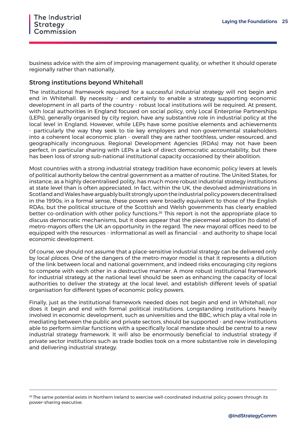business advice with the aim of improving management quality, or whether it should operate regionally rather than nationally.

#### Strong institutions beyond Whitehall

The institutional framework required for a successful industrial strategy will not begin and end in Whitehall. By necessity - and certainly to enable a strategy supporting economic development in all parts of the country - robust local institutions will be required. At present, with local authorities in England focused on social policy, only Local Enterprise Partnerships (LEPs), generally organised by city region, have any substantive role in industrial policy at the local level in England. However, while LEPs have some positive elements and achievements - particularly the way they seek to tie key employers and non-governmental stakeholders into a coherent local economic plan - overall they are rather toothless, under-resourced, and geographically incongruous. Regional Development Agencies (RDAs) may not have been perfect, in particular sharing with LEPs a lack of direct democratic accountability, but there has been loss of strong sub-national institutional capacity occasioned by their abolition.

Most countries with a strong industrial strategy tradition have economic policy levers at levels of political authority below the central government as a matter of routine. The United States, for instance, as a highly decentralised polity, has much more robust industrial strategy institutions at state level than is often appreciated. In fact, within the UK, the devolved administrations in Scotland and Wales have arguably built strongly upon the industrial policy powers decentralised in the 1990s; in a formal sense, these powers were broadly equivalent to those of the English RDAs, but the political structure of the Scottish and Welsh governments has clearly enabled better co-ordination with other policy functions.<sup>26</sup> This report is not the appropriate place to discuss democratic mechanisms, but it does appear that the piecemeal adoption (to date) of metro-mayors offers the UK an opportunity in the regard. The new mayoral offices need to be equipped with the resources - informational as well as financial - and authority to shape local economic development.

Of course, we should not assume that a place-sensitive industrial strategy can be delivered only by local *places*. One of the dangers of the metro-mayor model is that it represents a dilution of the link between local and national government, and indeed risks encouraging city regions to compete with each other in a destructive manner. A more robust institutional framework for industrial strategy at the national level should be seen as enhancing the capacity of local authorities to deliver the strategy at the local level, and establish different levels of spatial organisation for different types of economic policy powers.

Finally, just as the institutional framework needed does not begin and end in Whitehall, nor does it begin and end with formal political institutions. Longstanding institutions heavily involved in economic development, such as universities and the BBC, which play a vital role in mediating between the public and private sectors, should be supported - and new institutions able to perform similar functions with a specifically local mandate should be central to a new industrial strategy framework. It will also be enormously beneficial to industrial strategy if private sector institutions such as trade bodies took on a more substantive role in developing and delivering industrial strategy.

<sup>&</sup>lt;sup>26</sup> The same potential exists in Northern Ireland to exercise well-coordinated industrial policy powers through its power-sharing executive.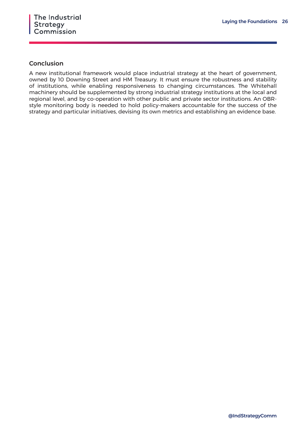#### Conclusion

A new institutional framework would place industrial strategy at the heart of government, owned by 10 Downing Street and HM Treasury. It must ensure the robustness and stability of institutions, while enabling responsiveness to changing circumstances. The Whitehall machinery should be supplemented by strong industrial strategy institutions at the local and regional level, and by co-operation with other public and private sector institutions. An OBRstyle monitoring body is needed to hold policy-makers accountable for the success of the strategy and particular initiatives, devising its own metrics and establishing an evidence base.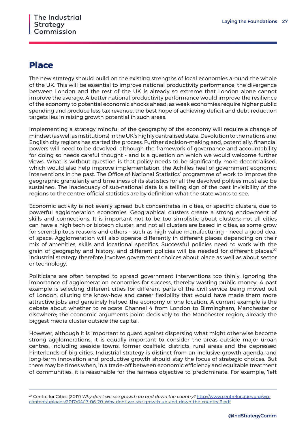### **Place**

The new strategy should build on the existing strengths of local economies around the whole of the UK. This will be essential to improve national productivity performance; the divergence between London and the rest of the UK is already so extreme that London alone cannot improve the average. A better national productivity performance would improve the resilience of the economy to potential economic shocks ahead; as weak economies require higher public spending and produce less tax revenue, the best hope of achieving deficit and debt reduction targets lies in raising growth potential in such areas.

Implementing a strategy mindful of the geography of the economy will require a change of mindset (as well as institutions) in the UK's highly centralised state. Devolution to the nations and English city regions has started the process. Further decision-making and, potentially, financial powers will need to be devolved, although the framework of governance and accountability for doing so needs careful thought - and is a question on which we would welcome further views. What is without question is that policy needs to be significantly more decentralised, which would also help improve implementation, the Achilles heel of government economic interventions in the past. The Office of National Statistics' programme of work to improve the geographic granularity and timeliness of its statistics for all the devolved polities must also be sustained. The inadequacy of sub-national data is a telling sign of the past invisibility of the regions to the centre: official statistics are by definition what the state wants to see.

Economic activity is not evenly spread but concentrates in cities, or specific clusters, due to powerful agglomeration economies. Geographical clusters create a strong endowment of skills and connections. It is important not to be too simplistic about clusters: not all cities can have a high tech or biotech cluster, and not all clusters are based in cities, as some grow for serendipitous reasons and others - such as high value manufacturing - need a good deal of space. Agglomeration will also operate differently in different places depending on their mix of amenities, skills and locational specifics. Successful policies need to work with the grain of geography and history, and different policies will be needed for different places.<sup>27</sup> Industrial strategy therefore involves government choices about place as well as about sector or technology.

Politicians are often tempted to spread government interventions too thinly, ignoring the importance of agglomeration economies for success, thereby wasting public money. A past example is selecting different cities for different parts of the civil service being moved out of London, diluting the know-how and career flexibility that would have made them more attractive jobs and genuinely helped the economy of one location. A current example is the debate about whether to relocate Channel 4 from London to Birmingham, Manchester or elsewhere; the economic arguments point decisively to the Manchester region, already the biggest media cluster outside the capital.

However, although it is important to guard against dispersing what might otherwise become strong agglomerations, it is equally important to consider the areas outside major urban centres, including seaside towns, former coalfield districts, rural areas and the depressed hinterlands of big cities. Industrial strategy is distinct from an inclusive growth agenda, and long-term innovation and productive growth should stay the focus of strategic choices. But there may be times when, in a trade-off between economic efficiency and equitable treatment of communities, it is reasonable for the fairness objective to predominate. For example, 'left

<sup>&</sup>lt;sup>27</sup> Centre for Cities (2017) *Why don't we see growth up and down the country?* [http://www.centreforcities.org/wp](http://www.centreforcities.org/wp-content/uploads/2017/04/17-06-20-Why-dont-we-see-growth-up-and-down-the-country-3.pdf)[content/uploads/2017/04/17-06-20-Why-dont-we-see-growth-up-and-down-the-country-3.pdf](http://www.centreforcities.org/wp-content/uploads/2017/04/17-06-20-Why-dont-we-see-growth-up-and-down-the-country-3.pdf)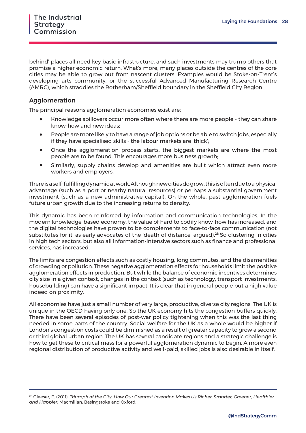behind' places all need key basic infrastructure, and such investments may trump others that promise a higher economic return. What's more, many places outside the centres of the core cities may be able to grow out from nascent clusters. Examples would be Stoke-on-Trent's developing arts community, or the successful Advanced Manufacturing Research Centre (AMRC), which straddles the Rotherham/Sheffield boundary in the Sheffield City Region.

#### Agglomeration

The principal reasons agglomeration economies exist are:

- Knowledge spillovers occur more often where there are more people they can share know-how and new ideas;
- People are more likely to have a range of job options or be able to switch jobs, especially if they have specialised skills - the labour markets are 'thick';
- Once the agglomeration process starts, the biggest markets are where the most people are to be found. This encourages more business growth;
- Similarly, supply chains develop and amenities are built which attract even more workers and employers.

There is a self-fulfilling dynamic at work. Although new cities do grow, this is often due to a physical advantage (such as a port or nearby natural resources) or perhaps a substantial government investment (such as a new administrative capital). On the whole, past agglomeration fuels future urban growth due to the increasing returns to density.

This dynamic has been reinforced by information and communication technologies. In the modern knowledge-based economy, the value of hard to codify know-how has increased, and the digital technologies have proven to be complements to face-to-face communication (not substitutes for it, as early advocates of the 'death of distance' argued).<sup>28</sup> So clustering in cities in high tech sectors, but also all information-intensive sectors such as finance and professional services, has increased.

The limits are congestion effects such as costly housing, long commutes, and the disamenities of crowding or pollution. These negative agglomeration effects for households limit the positive agglomeration effects in production. But while the balance of economic incentives determines city size in a given context, changes in the context (such as technology, transport investments, housebuilding) can have a significant impact. It is clear that in general people put a high value indeed on proximity.

All economies have just a small number of very large, productive, diverse city regions. The UK is unique in the OECD having only one. So the UK economy hits the congestion buffers quickly. There have been several episodes of post-war policy tightening when this was the last thing needed in some parts of the country. Social welfare for the UK as a whole would be higher if London's congestion costs could be diminished as a result of greater capacity to grow a second or third global urban region. The UK has several candidate regions and a strategic challenge is how to get these to critical mass for a powerful agglomeration dynamic to begin. A more even regional distribution of productive activity and well-paid, skilled jobs is also desirable in itself.

<sup>28</sup> Glaeser, E. (2011). *Triumph of the City: How Our Greatest Invention Makes Us Richer, Smarter, Greener, Healthier, and Happier*. Macmillan: Basingstoke and Oxford.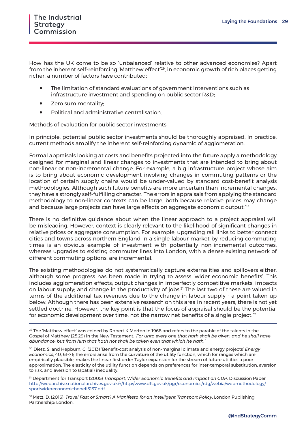How has the UK come to be so 'unbalanced' relative to other advanced economies? Apart from the inherent self-reinforcing 'Matthew effect'29, in economic growth of rich places getting richer, a number of factors have contributed:

- The limitation of standard evaluations of government interventions such as infrastructure investment and spending on public sector R&D;
- Zero sum mentality;
- Political and administrative centralisation.

Methods of evaluation for public sector investments

In principle, potential public sector investments should be thoroughly appraised. In practice, current methods amplify the inherent self-reinforcing dynamic of agglomeration.

Formal appraisals looking at costs and benefits projected into the future apply a methodology designed for marginal and linear changes to investments that are intended to bring about non-linear or non-incremental change. For example, a big infrastructure project whose aim is to bring about economic development involving changes in commuting patterns or the location of certain supply chains would be under-valued by standard cost-benefit analysis methodologies. Although such future benefits are more uncertain than incremental changes, they have a strongly self-fulfilling character. The errors in appraisals from applying the standard methodology to non-linear contexts can be large, both because relative prices may change and because large projects can have large effects on aggregate economic output.<sup>30</sup>

There is no definitive guidance about when the linear approach to a project appraisal will be misleading. However, context is clearly relevant to the likelihood of significant changes in relative prices or aggregate consumption. For example, upgrading rail links to better connect cities and towns across northern England in a single labour market by reducing commuting times is an obvious example of investment with potentially non-incremental outcomes, whereas upgrades to existing commuter lines into London, with a dense existing network of different commuting options, are incremental.

The existing methodologies do not systematically capture externalities and spillovers either, although some progress has been made in trying to assess 'wider economic benefits'. This includes agglomeration effects; output changes in imperfectly competitive markets; impacts on labour supply; and change in the productivity of jobs.<sup>31</sup> The last two of these are valued in terms of the additional tax revenues due to the change in labour supply - a point taken up below. Although there has been extensive research on this area in recent years, there is not yet settled doctrine. However, the key point is that the focus of appraisal should be the potential for economic development over time, not the narrow net benefits of a single project.<sup>32</sup>

30 Dietz, S. and Hepburn, C. (2013) 'Benefit-cost analysis of non-marginal climate and energy projects' *Energy Economics*, 40, 61-71; The errors arise from the curvature of the utility function, which for ranges which are empirically plausible, makes the linear first order Taylor expansion for the stream of future utilities a poor approximation. The elasticity of the utility function depends on preferences for inter-temporal substitution, aversion to risk, and aversion to (spatial) inequality.

31 Department for Transport (2005) *Transport, Wider Economic Benefits and Impact on GDP*. Discussion Paper [http://webarchive.nationalarchives.gov.uk/+/http:/www.dft.gov.uk/pgr/economics/rdg/webia/webmethodology/](http://webarchive.nationalarchives.gov.uk/+/http:/www.dft.gov.uk/pgr/economics/rdg/webia/webmethodology/sportwidereconomicbenefi3137.pdf) [sportwidereconomicbenefi3137.pdf](http://webarchive.nationalarchives.gov.uk/+/http:/www.dft.gov.uk/pgr/economics/rdg/webia/webmethodology/sportwidereconomicbenefi3137.pdf) 

32 Metz, D. (2016). *Travel Fast or Smart? A Manifesto for an Intelligent Transport Policy*. London Publishing Partnership: London.

<sup>&</sup>lt;sup>29</sup> The 'Matthew effect' was coined by Robert K Merton in 1968 and refers to the parable of the talents in the Gospel of Matthew (25:29) in the New Testament: *'For unto every one that hath shall be given, and he shall have abundance: but from him that hath not shall be taken even that which he hath.'*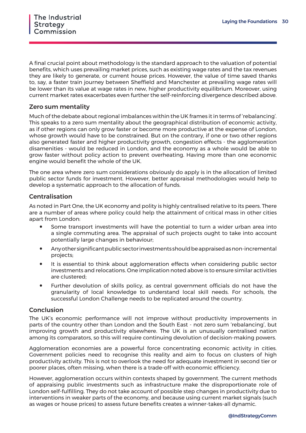A final crucial point about methodology is the standard approach to the valuation of potential benefits, which uses prevailing market prices, such as existing wage rates and the tax revenues they are likely to generate, or current house prices. However, the value of time saved thanks to, say, a faster train journey between Sheffield and Manchester at prevailing wage rates will be lower than its value at wage rates in new, higher productivity equilibrium. Moreover, using current market rates exacerbates even further the self-reinforcing divergence described above.

#### Zero sum mentality

Much of the debate about regional imbalances within the UK frames it in terms of 'rebalancing'. This speaks to a zero sum mentality about the geographical distribution of economic activity, as if other regions can only grow faster or become more productive at the expense of London, whose growth would have to be constrained. But on the contrary, if one or two other regions also generated faster and higher productivity growth, congestion effects - the agglomeration disamenities - would be reduced in London, and the economy as a whole would be able to grow faster without policy action to prevent overheating. Having more than one economic engine would benefit the whole of the UK.

The one area where zero sum considerations obviously do apply is in the allocation of limited public sector funds for investment. However, better appraisal methodologies would help to develop a systematic approach to the allocation of funds.

#### Centralisation

As noted in Part One, the UK economy and polity is highly centralised relative to its peers. There are a number of areas where policy could help the attainment of critical mass in other cities apart from London:

- Some transport investments will have the potential to turn a wider urban area into a single commuting area. The appraisal of such projects ought to take into account potentially large changes in behaviour;
- Any other significant public sector investments should be appraised as non-incremental projects;
- It is essential to think about agglomeration effects when considering public sector investments and relocations. One implication noted above is to ensure similar activities are clustered;
- Further devolution of skills policy, as central government officials do not have the granularity of local knowledge to understand local skill needs. For schools, the successful London Challenge needs to be replicated around the country.

#### Conclusion

The UK's economic performance will not improve without productivity improvements in parts of the country other than London and the South East - not zero sum 'rebalancing', but improving growth and productivity elsewhere. The UK is an unusually centralised nation among its comparators, so this will require continuing devolution of decision-making powers.

Agglomeration economies are a powerful force concentrating economic activity in cities. Government policies need to recognise this reality and aim to focus on clusters of high productivity activity. This is not to overlook the need for adequate investment in second tier or poorer places, often missing, when there is a trade-off with economic efficiency.

However, agglomeration occurs within contexts shaped by government. The current methods of appraising public investments such as infrastructure make the disproportionate role of London self-fulfilling. They do not take account of possible step changes in productivity due to interventions in weaker parts of the economy, and because using current market signals (such as wages or house prices) to assess future benefits creates a winner-takes-all dynamic.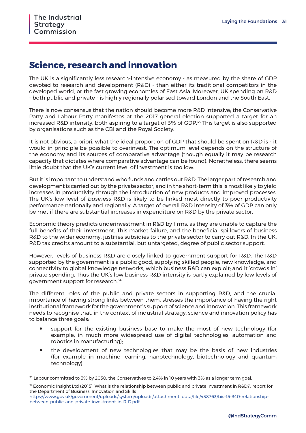### **Science, research and innovation**

The UK is a significantly less research-intensive economy - as measured by the share of GDP devoted to research and development (R&D) - than either its traditional competitors in the developed world, or the fast growing economies of East Asia. Moreover, UK spending on R&D - both public and private - is highly regionally polarised toward London and the South East.

There is now consensus that the nation should become more R&D intensive; the Conservative Party and Labour Party manifestos at the 2017 general election supported a target for an increased R&D intensity, both aspiring to a target of 3% of GDP.<sup>33</sup> This target is also supported by organisations such as the CBI and the Royal Society.

It is not obvious, a priori, what the ideal proportion of GDP that should be spent on R&D is - it would in principle be possible to overinvest. The optimum level depends on the structure of the economy and its sources of comparative advantage (though equally it may be research capacity that dictates where comparative advantage can be found). Nonetheless, there seems little doubt that the UK's current level of investment is too low.

But it is important to understand who funds and carries out R&D. The larger part of research and development is carried out by the private sector, and in the short-term this is most likely to yield increases in productivity through the introduction of new products and improved processes. The UK's low level of *business* R&D is likely to be linked most directly to poor productivity performance nationally and regionally. A target of overall R&D intensity of 3% of GDP can only be met if there are substantial increases in expenditure on R&D by the private sector.

Economic theory predicts underinvestment in R&D by firms, as they are unable to capture the full benefits of their investment. This market failure, and the beneficial spillovers of business R&D to the wider economy, justifies subsidies to the private sector to carry out R&D. In the UK, R&D tax credits amount to a substantial, but untargeted, degree of public sector support.

However, levels of business R&D are closely linked to government support for R&D. The R&D supported by the government is a public good, supplying skilled people, new knowledge, and connectivity to global knowledge networks, which business R&D can exploit; and it 'crowds in' private spending. Thus the UK's low business R&D intensity is partly explained by low levels of government support for research.<sup>34</sup>

The different roles of the public and private sectors in supporting R&D, and the crucial importance of having strong links between them, stresses the importance of having the right institutional framework for the government's support of science and innovation. This framework needs to recognise that, in the context of industrial strategy, science and innovation policy has to balance three goals:

- support for the existing business base to make the most of new technology (for example, in much more widespread use of digital technologies, automation and robotics in manufacturing);
- the development of new technologies that may be the basis of new industries (for example in machine learning, nanotechnology, biotechnology and quantum technology);

<sup>33</sup> Labour committed to 3% by 2030, the Conservatives to 2.4% in 10 years with 3% as a longer term goal.

<sup>34</sup>Economic Insight Ltd (2015) 'What is the relationship between public and private investment in R&D?', report for the Department of Business, Innovation and Skills

https://www.gov.uk/government/uploads/system/uploads/attachment\_data/file/438763/bis-15-340-relationshipbetween-public-and-private-investment-in-R-D.pdf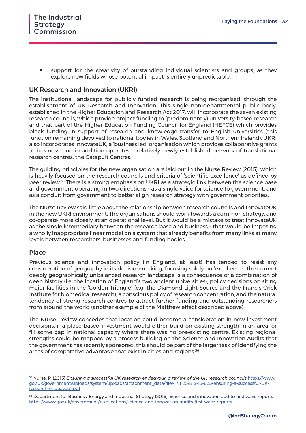support for the creativity of outstanding individual scientists and groups, as they explore new fields whose potential impact is entirely unpredictable.

#### UK Research and Innovation (UKRI)

The institutional landscape for publicly funded research is being reorganised, through the establishment of UK Research and Innovation. This single non-departmental public body, established in the Higher Education and Research Act 2017, will incorporate the seven existing research councils, which provide project funding to (predominantly) university-based research and that part of the Higher Education Funding Council for England (HEFCE) which provides block funding in support of research and knowledge transfer to English universities (this function remaining devolved to national bodies in Wales, Scotland and Northern Ireland). UKRI also incorporates InnovateUK, a 'business led' organisation which provides collaborative grants to business, and in addition operates a relatively newly established network of translational research centres, the Catapult Centres.

The guiding principles for the new organisation are laid out in the Nurse Review (2015), which is heavily focused on the research councils and criteria of 'scientific excellence' as defined by peer review.35 There is a strong emphasis on UKRI as a strategic link between the science base and government operating in two directions - as a single voice for science to government, and as a conduit from government to better align research strategy with government priorities.

The Nurse Review said little about the relationship between research councils and InnovateUK in the new UKRI environment. The organisations should work towards a common strategy, and co-operate more closely at an operational level. But it would be a mistake to treat InnovateUK as the single intermediary between the research base and business - that would be imposing a wholly inappropriate linear model on a system that already benefits from many links at many levels between researchers, businesses and funding bodies.

#### Place

Previous science and innovation policy (in England, at least) has tended to resist any consideration of geography in its decision-making, focusing solely on 'excellence'. The current deeply geographically unbalanced research landscape is a consequence of a combination of deep history (i.e. the location of England's two ancient universities), policy decisions on siting major facilities in the 'Golden Triangle' (e.g. the Diamond Light Source and the Francis Crick Institute for biomedical research), a conscious policy of research concentration, and the natural tendency of strong research centres to attract further funding and outstanding researchers from around the world (another example of the Matthew effect described above).

The Nurse Review concedes that location could become a consideration in new investment decisions, if a place-based investment would either build on existing strength in an area, or fill some gap in national capacity where there was no pre-existing centre. Existing regional strengths could be mapped by a process building on the Science and Innovation Audits that the government has recently sponsored; this should be part of the larger task of identifying the areas of comparative advantage that exist in cities and regions.<sup>36</sup>

<sup>&</sup>lt;sup>35</sup> Nurse, P. (2015) *Ensuring a successful UK research endeavour: a review of the UK research councils https://www.* gov.uk/government/uploads/system/uploads/attachment\_data/file/478125/BIS-15-625-ensuring-a-successful-UKresearch-endeavour.pdf

<sup>&</sup>lt;sup>36</sup> Department for Business, Energy and Industrial Strategy (2016), Science and innovation audits: first wave reports <https://www.gov.uk/government/publications/science-and-innovation-audits-first-wave-reports>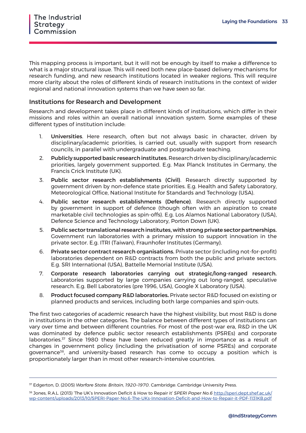<span id="page-33-0"></span>This mapping process is important, but it will not be enough by itself to make a difference to what is a major structural issue. This will need both new place-based delivery mechanisms for research funding, and new research institutions located in weaker regions. This will require more clarity about the roles of different kinds of research institutions in the context of wider regional and national innovation systems than we have seen so far.

#### Institutions for Research and Development

Research and development takes place in different kinds of institutions, which differ in their missions and roles within an overall national innovation system. Some examples of these different types of institution include:

- 1. Universities. Here research, often but not always basic in character, driven by disciplinary/academic priorities, is carried out, usually with support from research councils, in parallel with undergraduate and postgraduate teaching.
- 2. Publicly supported basic research institutes. Research driven by disciplinary/academic priorities, largely government supported. E.g. Max Planck Institutes in Germany, the Francis Crick Institute (UK).
- 3. Public sector research establishments (Civil). Research directly supported by government driven by non-defence state priorities. E.g. Health and Safety Laboratory, Meteorological Office, National Institute for Standards and Technology (USA).
- 4. Public sector research establishments (Defence). Research directly supported by government in support of defence (though often with an aspiration to create marketable civil technologies as spin-offs). E.g. Los Alamos National Laboratory (USA), Defence Science and Technology Laboratory, Porton Down (UK).
- 5. Public sector translational research institutes, with strong private sector partnerships. Government run laboratories with a primary mission to support innovation in the private sector. E.g. ITRI (Taiwan), Fraunhofer Institutes (Germany).
- 6. Private sector contract research organisations. Private sector (including not-for-profit) laboratories dependent on R&D contracts from both the public and private sectors. E.g. SRI International (USA), Battelle Memorial Institute (USA).
- 7. Corporate research laboratories carrying out strategic/long-ranged research. Laboratories supported by large companies carrying out long-ranged, speculative research. E.g. Bell Laboratories (pre 1996, USA), Google X Laboratory (USA).
- 8. Product focused company R&D laboratories**.** Private sector R&D focused on existing or planned products and services, including both large companies and spin-outs.

The first two categories of academic research have the highest visibility, but most R&D is done in institutions in the other categories. The balance between different types of institutions can vary over time and between different countries. For most of the post-war era, R&D in the UK was dominated by defence public sector research establishments (PSREs) and corporate laboratories.<sup>37</sup> Since 1980 these have been reduced greatly in importance as a result of changes in government policy (including the privatisation of some PSREs) and corporate governance<sup>38</sup>, and university-based research has come to occupy a position which is proportionately larger than in most other research-intensive countries.

<sup>37</sup> Edgerton, D. (2005) *Warfare State: Britain*, *1920–1970*. Cambridge: Cambridge University Press.

<sup>38</sup> Jones, R.A.L. (2013) 'The UK's Innovation Deficit & How to Repair it' *SPERI Paper No.6* [http://speri.dept.shef.ac.uk/](http://speri.dept.shef.ac.uk/wp-content/uploads/2013/10/SPERI-Paper-No.6-The-UKs-Innovation-Deficit-and-How-to-Repair-it-PDF-1131KB.pdf) [wp-content/uploads/2013/10/SPERI-Paper-No.6-The-UKs-Innovation-Deficit-and-How-to-Repair-it-PDF-1131KB.pdf](http://speri.dept.shef.ac.uk/wp-content/uploads/2013/10/SPERI-Paper-No.6-The-UKs-Innovation-Deficit-and-How-to-Repair-it-PDF-1131KB.pdf)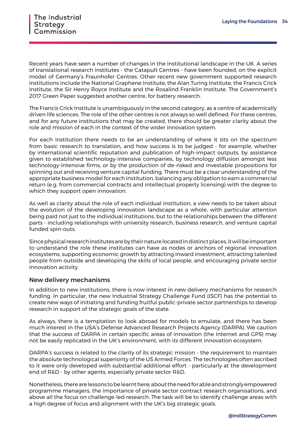Recent years have seen a number of changes in the institutional landscape in the UK. A series of translational research institutes - the Catapult Centres - have been founded, on the explicit model of Germany's Fraunhofer Centres. Other recent new government supported research institutions include the National Graphene Institute, the Alan Turing Institute, the Francis Crick Institute, the Sir Henry Royce Institute and the Rosalind Franklin Institute. The Government's 2017 Green Paper suggested another centre, for battery research.

The Francis Crick Institute is unambiguously in the second category, as a centre of academically driven life sciences. The role of the other centres is not always so well defined. For these centres, and for any future institutions that may be created, there should be greater clarity about the role and mission of each in the context of the wider innovation system.

For each institution there needs to be an understanding of where it sits on the spectrum from basic research to translation, and how success is to be judged - for example, whether by international scientific reputation and publication of high-impact outputs, by assistance given to established technology-intensive companies, by technology diffusion amongst less technology-intensive firms, or by the production of de-risked and investable propositions for spinning out and receiving venture capital funding. There must be a clear understanding of the appropriate business model for each institution, balancing any obligation to earn a commercial return (e.g. from commercial contracts and intellectual property licensing) with the degree to which they support open innovation.

As well as clarity about the role of each individual institution, a view needs to be taken about the evolution of the developing innovation landscape as a whole, with particular attention being paid not just to the individual institutions, but to the relationships between the different parts - including relationships with university research, business research, and venture capital funded spin-outs.

Since physical research institutes are by their nature located in distinct places, it will be important to understand the role these institutes can have as nodes or anchors of regional innovation ecosystems, supporting economic growth by attracting inward investment, attracting talented people from outside and developing the skills of local people, and encouraging private sector innovation activity.

#### New delivery mechanisms

In addition to new institutions, there is now interest in new delivery mechanisms for research funding. In particular, the new Industrial Strategy Challenge Fund (ISCF) has the potential to create new ways of initiating and funding fruitful public-private sector partnerships to develop research in support of the strategic goals of the state.

As always, there is a temptation to look abroad for models to emulate, and there has been much interest in the USA's Defense Advanced Research Projects Agency (DARPA). We caution that the success of DARPA in certain specific areas of innovation (the Internet and GPS) may not be easily replicated in the UK's environment, with its different innovation ecosystem.

DARPA's success is related to the clarity of its strategic mission - the requirement to maintain the absolute technological superiority of the US Armed Forces. The technologies often ascribed to it were only developed with substantial additional effort - particularly at the development end of R&D - by other agents, especially private sector R&D.

Nonetheless, there are lessons to be learnt here; about the need for able and strongly empowered programme managers, the importance of private sector contract research organisations, and above all the focus on challenge-led research. The task will be to identify challenge areas with a high degree of focus and alignment with the UK's big strategic goals.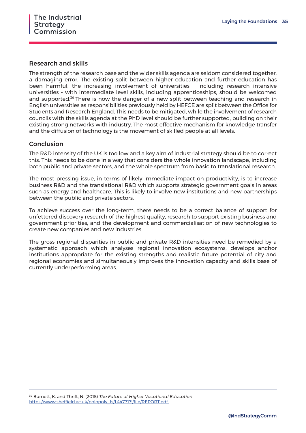#### Research and skills

The strength of the research base and the wider skills agenda are seldom considered together, a damaging error. The existing split between higher education and further education has been harmful; the increasing involvement of universities - including research intensive universities - with intermediate level skills, including apprenticeships, should be welcomed and supported.<sup>39</sup> There is now the danger of a new split between teaching and research in English universities as responsibilities previously held by HEFCE are split between the Office for Students and Research England. This needs to be mitigated, while the involvement of research councils with the skills agenda at the PhD level should be further supported, building on their existing strong networks with industry. The most effective mechanism for knowledge transfer and the diffusion of technology is the movement of skilled people at all levels.

#### Conclusion

The R&D intensity of the UK is too low and a key aim of industrial strategy should be to correct this. This needs to be done in a way that considers the whole innovation landscape, including both public and private sectors, and the whole spectrum from basic to translational research.

The most pressing issue, in terms of likely immediate impact on productivity, is to increase business R&D and the translational R&D which supports strategic government goals in areas such as energy and healthcare. This is likely to involve new institutions and new partnerships between the public and private sectors.

To achieve success over the long-term, there needs to be a correct balance of support for unfettered discovery research of the highest quality, research to support existing business and government priorities, and the development and commercialisation of new technologies to create new companies and new industries.

The gross regional disparities in public and private R&D intensities need be remedied by a systematic approach which analyses regional innovation ecosystems, develops anchor institutions appropriate for the existing strengths and realistic future potential of city and regional economies and simultaneously improves the innovation capacity and skills base of currently underperforming areas.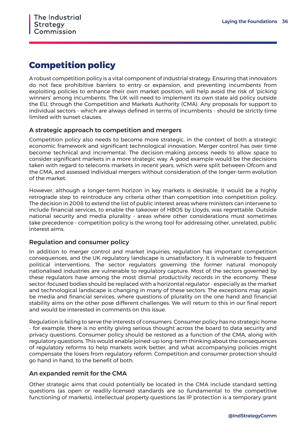### **Competition policy**

A robust competition policy is a vital component of industrial strategy. Ensuring that innovators do not face prohibitive barriers to entry or expansion, and preventing incumbents from exploiting policies to enhance their own market position, will help avoid the risk of 'picking winners' among incumbents. The UK will need to implement its own state aid policy outside the EU, through the Competition and Markets Authority (CMA). Any proposals for support to individual sectors - which are always defined in terms of incumbents - should be strictly time limited with sunset clauses.

#### A strategic approach to competition and mergers

Competition policy also needs to become more strategic, in the context of both a strategic economic framework and significant technological innovation. Merger control has over time become technical and incremental. The decision-making process needs to allow space to consider significant markets in a more strategic way. A good example would be the decisions taken with regard to telecoms markets in recent years, which were split between Ofcom and the CMA, and assessed individual mergers without consideration of the longer-term evolution of the market.

However, although a longer-term horizon in key markets is desirable, it would be a highly retrograde step to reintroduce any criteria other than competition into competition policy. The decision in 2008 to extend the list of public interest areas where ministers can intervene to include financial services, to enable the takeover of HBOS by Lloyds, was regrettable. Outside national security and media plurality - areas where other considerations must sometimes take precedence - competition policy is the wrong tool for addressing other, unrelated, public interest aims.

#### Regulation and consumer policy

In addition to merger control and market inquiries, regulation has important competition consequences, and the UK regulatory landscape is unsatisfactory. It is vulnerable to frequent political interventions. The sector regulators governing the former natural monopoly nationalised industries are vulnerable to regulatory capture. Most of the sectors governed by these regulators have among the most dismal productivity records in the economy. These sector-focused bodies should be replaced with a horizontal regulator - especially as the market and technological landscape is changing in many of these sectors. The exceptions may again be media and financial services, where questions of plurality on the one hand and financial stability aims on the other pose different challenges. We will return to this in our final report and would be interested in comments on this issue.

Regulation is failing to serve the interests of consumers. Consumer policy has no strategic home - for example, there is no entity giving serious thought across the board to data security and privacy questions. Consumer policy should be restored as a function of the CMA, along with regulatory questions. This would enable joined-up long-term thinking about the consequences of regulatory reforms to help markets work better, and what accompanying policies might compensate the losers from regulatory reform. Competition and consumer protection should go hand in hand, to the benefit of both.

#### An expanded remit for the CMA

Other strategic aims that could potentially be located in the CMA include standard setting questions (as open or readily-licensed standards are so fundamental to the competitive functioning of markets), intellectual property questions (as IP protection is a temporary grant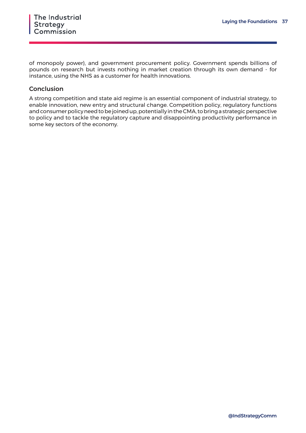of monopoly power), and government procurement policy. Government spends billions of pounds on research but invests nothing in market creation through its own demand - for instance, using the NHS as a customer for health innovations.

#### Conclusion

A strong competition and state aid regime is an essential component of industrial strategy, to enable innovation, new entry and structural change. Competition policy, regulatory functions and consumer policy need to be joined up, potentially in the CMA, to bring a strategic perspective to policy and to tackle the regulatory capture and disappointing productivity performance in some key sectors of the economy.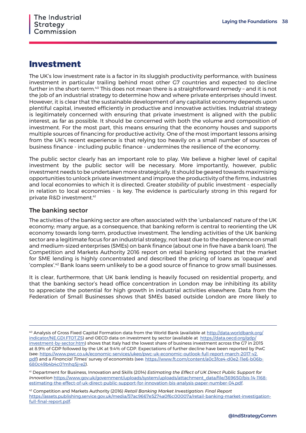### **Investment**

The UK's low investment rate is a factor in its sluggish productivity performance, with business investment in particular trailing behind most other G7 countries and expected to decline further in the short-term.<sup>40</sup> This does not mean there is a straightforward remedy - and it is not the job of an industrial strategy to determine how and where private enterprises should invest. However, it is clear that the sustainable development of any capitalist economy depends upon plentiful capital, invested efficiently in productive and innovative activities. Industrial strategy is legitimately concerned with ensuring that private investment is aligned with the public interest, as far as possible. It should be concerned with both the volume and composition of investment. For the most part, this means ensuring that the economy houses and supports multiple sources of financing for productive activity. One of the most important lessons arising from the UK's recent experience is that relying too heavily on a small number of sources of business finance - including public finance - undermines the resilience of the economy.

The public sector clearly has an important role to play. We believe a higher level of capital investment by the public sector will be necessary. More importantly, however, public investment needs to be undertaken more strategically. It should be geared towards maximising opportunities to unlock private investment and improve the productivity of the firms, industries and local economies to which it is directed. Greater *stability* of public investment - especially in relation to local economies - is key. The evidence is particularly strong in this regard for private R&D investment.41

#### The banking sector

The activities of the banking sector are often associated with the 'unbalanced' nature of the UK economy; many argue, as a consequence, that banking reform is central to reorienting the UK economy towards long-term, productive investment. The lending activities of the UK banking sector are a legitimate focus for an industrial strategy, not least due to the dependence on small and medium-sized enterprises (SMEs) on bank finance (about one in five have a bank loan). The Competition and Markets Authority 2016 report on retail banking reported that the market for SME lending is highly concentrated and described the pricing of loans as 'opaque' and 'complex'.42 Bank loans seem unlikely to be a good source of finance to grow small businesses.

It is clear, furthermore, that UK bank lending is heavily focused on residential property, and that the banking sector's head office concentration in London may be inhibiting its ability to appreciate the potential for high growth in industrial activities elsewhere. Data from the Federation of Small Businesses shows that SMEs based outside London are more likely to

<sup>&</sup>lt;sup>40</sup> Analysis of Gross Fixed Capital Formation data from the World Bank (available at [http://data.worldbank.org/](http://data.worldbank.org/indicator/NE.GDI.FTOT.ZS) [indicator/NE.GDI.FTOT.ZS](http://data.worldbank.org/indicator/NE.GDI.FTOT.ZS)) and OECD data on investment by sector (available at [https://data.oecd.org/gdp/](https://data.oecd.org/gdp/investment-by-sector.htm) [investment-by-sector.htm](https://data.oecd.org/gdp/investment-by-sector.htm)) shows that Italy had the lowest share of business investment across the G7 in 2015 at 8.9% of GDP followed by the UK at 9.4% of GDP. Expectations of further decline have been reported by PwC (see: [https://www.pwc.co.uk/economic-services/ukeo/pwc-uk-economic-outlook-full-report-march-2017-v2.](https://www.pwc.co.uk/economic-services/ukeo/pwc-uk-economic-outlook-full-report-march-2017-v2.pdf) [pdf](https://www.pwc.co.uk/economic-services/ukeo/pwc-uk-economic-outlook-full-report-march-2017-v2.pdf)) and a *Financial Times*' survey of economists (see: [https://www.ft.com/content/a0c3fce4-d0e2-11e6-b06b-](https://www.ft.com/content/a0c3fce4-d0e2-11e6-b06b-680c49b4b4c0?mhq5j=e2)[680c49b4b4c0?mhq5j=e2\)](https://www.ft.com/content/a0c3fce4-d0e2-11e6-b06b-680c49b4b4c0?mhq5j=e2).

<sup>41</sup> Department for Business, Innovation and Skills (2014) *Estimating the Effect of UK Direct Public Support for Innovation* [https://www.gov.uk/government/uploads/system/uploads/attachment\\_data/file/369650/bis-14-1168](https://www.gov.uk/government/uploads/system/uploads/attachment_data/file/369650/bis-14-1168-estimating-the-effect-of-uk-direct-public-support-for-innovation-bis-analysis-paper-number-04.pdf) [estimating-the-effect-of-uk-direct-public-support-for-innovation-bis-analysis-paper-number-04.pdf](https://www.gov.uk/government/uploads/system/uploads/attachment_data/file/369650/bis-14-1168-estimating-the-effect-of-uk-direct-public-support-for-innovation-bis-analysis-paper-number-04.pdf).

<sup>42</sup> Competition and Markets Authority (2016) *Retail Banking Market Investigation: Final Report* [https://assets.publishing.service.gov.uk/media/57ac9667e5274a0f6c00007a/retail-banking-market-investigation](https://assets.publishing.service.gov.uk/media/57ac9667e5274a0f6c00007a/retail-banking-market-investigation-full-final-report.pdf)[full-final-report.pdf](https://assets.publishing.service.gov.uk/media/57ac9667e5274a0f6c00007a/retail-banking-market-investigation-full-final-report.pdf).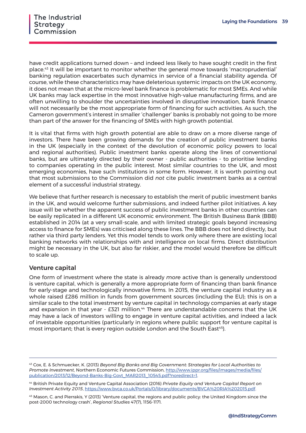<span id="page-39-0"></span>have credit applications turned down – and indeed less likely to have sought credit in the first place.43 It will be important to monitor whether the general move towards 'macroprudential' banking regulation exacerbates such dynamics in service of a financial stability agenda. Of course, while these characteristics may have deleterious systemic impacts on the UK economy, it does not mean that at the micro-level bank finance is problematic for most SMEs. And while UK banks may lack expertise in the most innovative high-value manufacturing firms, and are often unwilling to shoulder the uncertainties involved in disruptive innovation, bank finance will not necessarily be the most appropriate form of financing for such activities. As such, the Cameron government's interest in smaller 'challenger' banks is probably not going to be more than part of the answer for the financing of SMEs with high growth potential.

It is vital that firms with high growth potential are able to draw on a more diverse range of investors. There have been growing demands for the creation of public investment banks in the UK (especially in the context of the devolution of economic policy powers to local and regional authorities). Public investment banks operate along the lines of conventional banks, but are ultimately directed by their owner - public authorities - to prioritise lending to companies operating in the public interest. Most similar countries to the UK, and most emerging economies, have such institutions in some form. However, it is worth pointing out that most submissions to the Commission did *not* cite public investment banks as a central element of a successful industrial strategy.

We believe that further research is necessary to establish the merit of public investment banks in the UK, and would welcome further submissions, and indeed further pilot initiatives. A key issue will be whether the apparent success of public investment banks in other countries can be easily replicated in a different UK economic environment. The British Business Bank (BBB) established in 2014 (at a very small-scale, and with limited strategic goals beyond increasing access to finance for SMEs) was criticised along these lines. The BBB does not lend directly, but rather via third party lenders. Yet this model tends to work only where there are existing local banking networks with relationships with and intelligence on local firms. Direct distribution might be necessary in the UK, but also far riskier, and the model would therefore be difficult to scale up.

#### Venture capital

One form of investment where the state is already *more* active than is generally understood is venture capital, which is generally a more appropriate form of financing than bank finance for early-stage and technologically innovative firms. In 2015, the venture capital industry as a whole raised £286 million in funds from government sources (including the EU); this is on a similar scale to the total investment by venture capital in technology companies at early stage and expansion in that year - £321 million.<sup>44</sup> There are understandable concerns that the UK may have a lack of investors willing to engage in venture capital activities, and indeed a lack of investable opportunities (particularly in regions where public support for venture capital is most important; that is every region outside London and the South East<sup>45</sup>).

<sup>43</sup> Cox, E. & Schmuecker, K. (2013) *Beyond Big Banks and Big Government: Strategies for Local Authorities to Promote Investment*, Northern Economic Futures Commission, [http://www.ippr.org/files/images/media/files/](http://www.ippr.org/files/images/media/files/publication/2013/12/Beyond-Banks-Big-Govt_MAR2013_10545.pdf?noredirect=1) [publication/2013/12/Beyond-Banks-Big-Govt\\_MAR2013\\_10545.pdf?noredirect=1](http://www.ippr.org/files/images/media/files/publication/2013/12/Beyond-Banks-Big-Govt_MAR2013_10545.pdf?noredirect=1).

<sup>44</sup> British Private Equity and Venture Capital Association (2016) *Private Equity and Venture Capital Report on Investment Activity 2015*, <https://www.bvca.co.uk/Portals/0/library/documents/BVCA%20RIA%202015.pdf>.

<sup>45</sup> Mason, C. and Pierrakis, Y (2013) 'Venture capital, the regions and public policy: the United Kingdom since the post-2000 technology crash', *Regional Studies* 47(7), 1156-1171.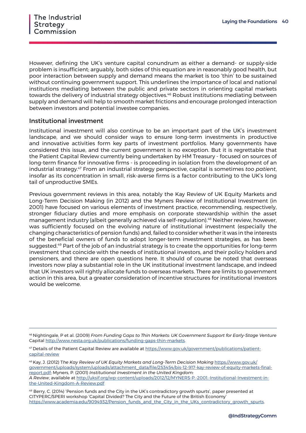However, defining the UK's venture capital conundrum as either a demand- or supply-side problem is insufficient; arguably, both sides of this equation are in reasonably good health, but poor interaction between supply and demand means the market is too 'thin' to be sustained without continuing government support. This underlines the importance of local and national institutions mediating between the public and private sectors in orienting capital markets towards the delivery of industrial strategy objectives.<sup>46</sup> Robust institutions mediating between supply and demand will help to smooth market frictions and encourage prolonged interaction between investors and potential investee companies.

#### Institutional investment

Institutional investment will also continue to be an important part of the UK's investment landscape, and we should consider ways to ensure long-term investments in productive and innovative activities form key parts of investment portfolios. Many governments have considered this issue, and the current government is no exception. But it is regrettable that the Patient Capital Review currently being undertaken by HM Treasury - focused on sources of long-term finance for innovative firms - is proceeding in isolation from the development of an industrial strategy.47 From an industrial strategy perspective, capital is sometimes *too patient*, insofar as its concentration in small, risk-averse firms is a factor contributing to the UK's long tail of unproductive SMEs.

Previous government reviews in this area, notably the Kay Review of UK Equity Markets and Long-Term Decision Making (in 2012) and the Myners Review of Institutional Investment (in 2001) have focused on various elements of investment practice, recommending, respectively, stronger fiduciary duties and more emphasis on corporate stewardship within the asset management industry (albeit generally achieved via self-regulation).<sup>48</sup> Neither review, however, was sufficiently focused on the evolving nature of institutional investment (especially the changing characteristics of pension funds) and, failed to consider whether it was in the interests of the beneficial owners of funds to adopt longer-term investment strategies, as has been suggested.<sup>49</sup> Part of the job of an industrial strategy is to create the opportunities for long-term investment that coincide with the needs of institutional investors, and their policy holders and pensioners, and there are open questions here. It should of course be noted that overseas investors now play a substantial role in the UK institutional investment landscape, and indeed that UK investors will rightly allocate funds to overseas markets. There are limits to government action in this area, but a greater consideration of incentive structures for institutional investors would be welcome.

48 Kay, J. (2012) T*he Kay Review of UK Equity Markets and Long-Term Decision Making* [https://www.gov.uk/](https://www.gov.uk/government/uploads/system/uploads/attachment_data/file/253454/bis-12-917-kay-review-of-equity-markets-final-report.pdf) [government/uploads/system/uploads/attachment\\_data/file/253454/bis-12-917-kay-review-of-equity-markets-final](https://www.gov.uk/government/uploads/system/uploads/attachment_data/file/253454/bis-12-917-kay-review-of-equity-markets-final-report.pdf)[report.pdf;](https://www.gov.uk/government/uploads/system/uploads/attachment_data/file/253454/bis-12-917-kay-review-of-equity-markets-final-report.pdf) Myners, P. (2001) *Institutional Investment in the United Kingdom: A Review*, available at [http://uksif.org/wp-content/uploads/2012/12/MYNERS-P.-2001.-Institutional-Investment-in](http://uksif.org/wp-content/uploads/2012/12/MYNERS-P.-2001.-Institutional-Investment-in-the-United-Kingdom-A-Review.pdf)[the-United-Kingdom-A-Review.pdf](http://uksif.org/wp-content/uploads/2012/12/MYNERS-P.-2001.-Institutional-Investment-in-the-United-Kingdom-A-Review.pdf)

<sup>46</sup> Nightingale, P et al. (2009) *From Funding Gaps to Thin Markets: UK Government Support for Early-Stage Venture* Capital <http://www.nesta.org.uk/publications/funding-gaps-thin-markets>.

<sup>47</sup> Details of the Patient Capital Review are available at [https://www.gov.uk/government/publications/patient](https://www.gov.uk/government/publications/patient-capital-review)[capital-review](https://www.gov.uk/government/publications/patient-capital-review)

<sup>49</sup> Berry, C. (2014) 'Pension funds and the City in the UK's contradictory growth spurts', paper presented at CITYPERC/SPERI workshop 'Capital Divided? The City and the Future of the British Economy' [https://www.academia.edu/9094932/Pension\\_funds\\_and\\_the\\_City\\_in\\_the\\_UKs\\_contradictory\\_growth\\_spurts](https://www.academia.edu/9094932/Pension_funds_and_the_City_in_the_UKs_contradictory_growth_spurts).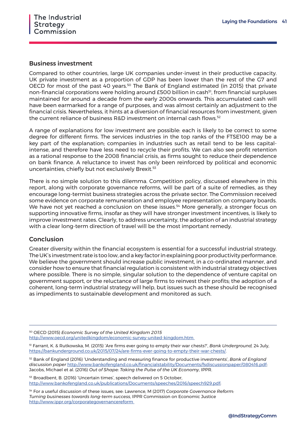#### <span id="page-41-0"></span>Business investment

Compared to other countries, large UK companies under-invest in their productive capacity. UK private investment as a proportion of GDP has been lower than the rest of the G7 and OECD for most of the past 40 years.<sup>50</sup> The Bank of England estimated (in 2015) that private non-financial corporations were holding around £500 billion in cash<sup>51</sup>, from financial surpluses maintained for around a decade from the early 2000s onwards. This accumulated cash will have been earmarked for a range of purposes, and was almost certainly an adjustment to the financial crisis. Nevertheless, it hints at a diversion of financial resources from investment, given the current reliance of business R&D investment on internal cash flows.<sup>52</sup>

A range of explanations for low investment are possible: each is likely to be correct to some degree for different firms. The services industries in the top ranks of the FTSE100 may be a key part of the explanation; companies in industries such as retail tend to be less capitalintense, and therefore have less need to recycle their profits. We can also see profit retention as a rational response to the 2008 financial crisis, as firms sought to reduce their dependence on bank finance. A reluctance to invest has only been reinforced by political and economic uncertainties, chiefly but not exclusively Brexit.<sup>53</sup>

There is no simple solution to this dilemma. Competition policy, discussed elsewhere in this report, along with corporate governance reforms, will be part of a suite of remedies, as they encourage long-termist business strategies across the private sector. The Commission received some evidence on corporate remuneration and employee representation on company boards. We have not yet reached a conclusion on these issues.<sup>54</sup> More generally, a stronger focus on supporting innovative firms, insofar as they will have stronger investment incentives, is likely to improve investment rates. Clearly, to address uncertainty, the adoption of an industrial strategy with a clear long-term direction of travel will be the most important remedy.

#### Conclusion

Greater diversity within the financial ecosystem is essential for a successful industrial strategy. The UK's investment rate is too low, and a key factor in explaining poor productivity performance. We believe the government should increase public investment, in a co-ordinated manner, and consider how to ensure that financial regulation is consistent with industrial strategy objectives where possible. There is no simple, singular solution to the dependence of venture capital on government support, or the reluctance of large firms to reinvest their profits; the adoption of a coherent, long-term industrial strategy will help, but issues such as these should be recognised as impediments to sustainable development and monitored as such.

53 Broadbent, B. (2016) 'Uncertain times', speech delivered on 5 October, [http://www.bankofengland.co.uk/publications/Documents/speeches/2016/speech929.pdf;](http://www.bankofengland.co.uk/publications/Documents/speeches/2016/speech929.pdf)

<sup>50</sup> OECD (2015) *Economic Survey of the United Kingdom 2015* 

<http://www.oecd.org/unitedkingdom/economic-survey-united-kingdom.htm>

<sup>51</sup> Farrant, K. & Rutkowska, M. (2015) 'Are firms ever going to empty their war chests?', *Bank Underground,* 24 July, <https://bankunderground.co.uk/2015/07/24/are-firms-ever-going-to-empty-their-war-chests/>.

<sup>52</sup> Bank of England (2016) 'Understanding and measuring finance for productive investments', *Bank of England discussion paper* [http://www.bankofengland.co.uk/financialstability/Documents/fsdiscussionpaper/080416.pdf;](http://www.bankofengland.co.uk/financialstability/Documents/fsdiscussionpaper/080416.pdf) Jacobs, Michael et al. (2016) *Out of Shape: Taking the Pulse of the UK Economy*, IPPR.

<sup>54</sup> For a useful discussion of these issues, see: Lawrence, M (2017) *Corporate Governance Reform: Turning businesses towards long-term success*, IPPR Commission on Economic Justice <http://www.ippr.org/corporategovernancereform>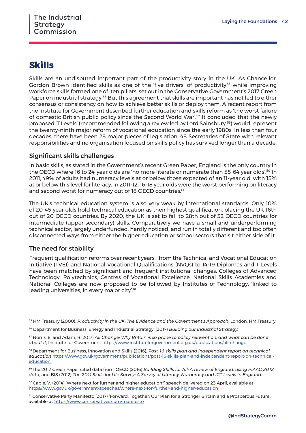### **Skills**

Skills are an undisputed important part of the productivity story in the UK. As Chancellor, Gordon Brown identified skills as one of the 'five drivers' of productivity<sup>55</sup> while improving workforce skills formed one of 'ten pillars' set out in the Conservative Government's 2017 Green Paper on industrial strategy.<sup>56</sup> But this agreement that skills are important has not led to either consensus or consistency on how to achieve better skills or deploy them. A recent report from the Institute for Government described further education and skills reform as 'the worst failure of domestic British public policy since the Second World War'.57 It concluded that the newly proposed 'T Levels' (recommended following a review led by Lord Sainsbury 58) would represent the twenty-ninth major reform of vocational education since the early 1980s. In less than four decades, there have been 28 major pieces of legislation, 48 Secretaries of State with relevant responsibilities and no organisation focused on skills policy has survived longer than a decade.

#### Significant skills challenges

In basic skills, as stated in the Government's recent Green Paper, England is the only country in the OECD where 16 to 24-year olds are 'no more literate or numerate than 55-64 year olds'.<sup>59</sup> In 2011, 49% of adults had numeracy levels at or below those expected of an 11-year old, with 15% at or below this level for literacy. In 2011-12, 16-18 year olds were the worst performing on literacy and second worst for numeracy out of 18 OECD countries.<sup>60</sup>

The UK's technical education system is also very weak by international standards. Only 10% of 20-45 year olds hold technical education as their highest qualification, placing the UK 16th out of 20 OECD countries. By 2020, the UK is set to fall to 28th out of 32 OECD countries for intermediate (upper-secondary) skills. Comparatively we have a small and underperforming technical sector, largely underfunded, hardly noticed, and run in totally different and too often disconnected ways from either the higher education or school sectors that sit either side of it.

#### The need for stability

Frequent qualification reforms over recent years - from the Technical and Vocational Education Initiative (TVEI) and National Vocational Qualifications (NVQs) to 14-19 Diplomas and T Levels have been matched by significant and frequent institutional changes. Colleges of Advanced Technology, Polytechnics, Centres of Vocational Excellence, National Skills Academies and National Colleges are now proposed to be followed by Institutes of Technology, 'linked to leading universities, in every major city'.<sup>61</sup>

<sup>55</sup> HM Treasury (2000), *Productivity in the UK*: *The Evidence and the Government's Approach*, London, HM Treasury.

<sup>56</sup> Department for Business, Energy and Industrial Strategy, (2017) *Building our Industrial Strategy.*

<sup>57</sup> Norris, E. and Adam, R.(2017) *All Change: Why Britain is so prone to policy reinvention, and what can be done about it*, Institute for Government<https://www.instituteforgovernment.org.uk/publications/all-change>

<sup>58</sup> Department for Business, Innovation and Skills (2016), *Post-16 skills plan and independent report on technical education* [https://www.gov.uk/government/publications/post-16-skills-plan-and-independent-report-on-technical](https://www.gov.uk/government/publications/post-16-skills-plan-and-independent-report-on-technical-education)[education](https://www.gov.uk/government/publications/post-16-skills-plan-and-independent-report-on-technical-education) 

<sup>59</sup> The 2017 Green Paper cited data from: OECD (2016) *Building Skills for All: A review of England, using PIAAC 2012 data*, and BIS (2012) *The 2011 Skills for Life Survey: A Survey of Literacy, Numeracy and ICT Levels in England.*

<sup>&</sup>lt;sup>60</sup> Cable, V. (2014) 'Where next for further and higher education?' speech delivered on 23 April, available at <https://www.gov.uk/government/speeches/where-next-for-further-and-higher-education>

<sup>&</sup>lt;sup>61</sup> Conservative Party Manifesto (2017) 'Forward, Together: Our Plan for a Stronger Britain and a Prosperous Future', available at <https://www.conservatives.com/manifesto>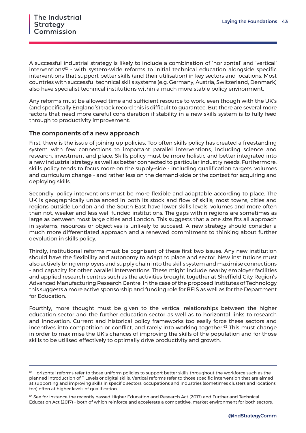A successful industrial strategy is likely to include a combination of 'horizontal' and 'vertical'  $interventions<sup>62</sup>$  - with system-wide reforms to initial technical education alongside specific interventions that support better skills (and their utilisation) in key sectors and locations. Most countries with successful technical skills systems (e.g. Germany, Austria, Switzerland, Denmark) also have specialist technical institutions within a much more stable policy environment.

Any reforms must be allowed time and sufficient resource to work, even though with the UK's (and specifically England's) track record this is difficult to guarantee. But there are several more factors that need more careful consideration if stability in a new skills system is to fully feed through to productivity improvement.

#### The components of a new approach

First, there is the issue of joining up policies. Too often skills policy has created a freestanding system with few connections to important parallel interventions, including science and research, investment and place. Skills policy must be more holistic and better integrated into a new industrial strategy as well as better connected to particular industry needs. Furthermore, skills policy tends to focus more on the supply-side - including qualification targets, volumes and curriculum change - and rather less on the demand-side or the context for acquiring and deploying skills.

Secondly, policy interventions must be more flexible and adaptable according to place. The UK is geographically unbalanced in both its stock and flow of skills; most towns, cities and regions outside London and the South East have lower skills levels, volumes and more often than not, weaker and less well funded institutions. The gaps within regions are sometimes as large as between most large cities and London. This suggests that a one size fits all approach in systems, resources or objectives is unlikely to succeed. A new strategy should consider a much more differentiated approach and a renewed commitment to thinking about further devolution in skills policy.

Thirdly, institutional reforms must be cognisant of these first two issues. Any new institution should have the flexibility and autonomy to adapt to place and sector. New institutions must also actively bring employers and supply chain into the skills system and maximise connections - and capacity for other parallel interventions. These might include nearby employer facilities and applied research centres such as the activities brought together at Sheffield City Region's Advanced Manufacturing Research Centre. In the case of the proposed Institutes of Technology this suggests a more active sponsorship and funding role for BEIS as well as for the Department for Education.

Fourthly, more thought must be given to the vertical relationships between the higher education sector and the further education sector as well as to horizontal links to research and innovation. Current and historical policy frameworks too easily force these sectors and incentives into competition or conflict, and rarely into working together.<sup> $63$ </sup> This must change in order to maximise the UK's chances of improving the skills of the population and for those skills to be utilised effectively to optimally drive productivity and growth.

<sup>62</sup> Horizontal reforms refer to those uniform policies to support better skills throughout the workforce such as the planned introduction of T Levels or digital skills. Vertical reforms refer to those specific intervention that are aimed at supporting and improving skills in specific sectors, occupations and industries (sometimes clusters and locations too) often at higher levels of qualification.

<sup>63</sup> See for instance the recently passed Higher Education and Research Act (2017) and Further and Technical Education Act (2017) – both of which reinforce and accelerate a competitive, market environment for both sectors.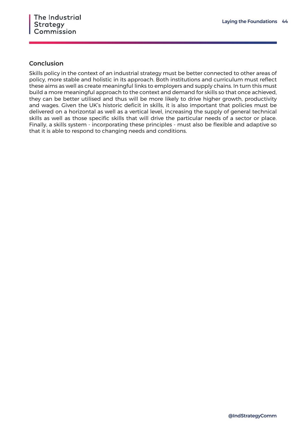#### Conclusion

Skills policy in the context of an industrial strategy must be better connected to other areas of policy, more stable and holistic in its approach. Both institutions and curriculum must reflect these aims as well as create meaningful links to employers and supply chains. In turn this must build a more meaningful approach to the context and demand for skills so that once achieved, they can be better utilised and thus will be more likely to drive higher growth, productivity and wages. Given the UK's historic deficit in skills, it is also important that policies must be delivered on a horizontal as well as a vertical level, increasing the supply of general technical skills as well as those specific skills that will drive the particular needs of a sector or place. Finally, a skills system - incorporating these principles - must also be flexible and adaptive so that it is able to respond to changing needs and conditions.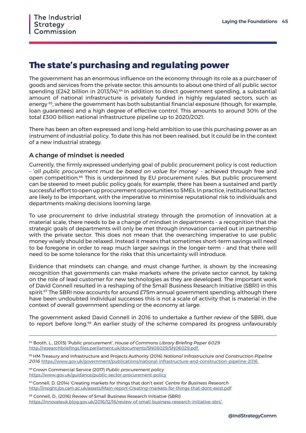### **The state's purchasing and regulating power**

The government has an enormous influence on the economy through its role as a purchaser of goods and services from the private sector; this amounts to about one third of all public sector spending (£242 billion in 2013/14).<sup>64</sup> In addition to direct government spending, a substantial amount of national infrastructure is privately funded in highly regulated sectors, such as energy <sup>65</sup>, where the government has both substantial financial exposure (though, for example, loan guarantees) and a high degree of effective control. This amounts to around 30% of the total £300 billion national infrastructure pipeline up to 2020/2021.

There has been an often expressed and long-held ambition to use this purchasing power as an instrument of industrial policy. To date this has not been realised, but it could be in the context of a new industrial strategy.

#### A change of mindset is needed

Currently, the firmly expressed underlying goal of public procurement policy is cost reduction - '*all public procurement must be based on value for money*' - achieved through free and open competition.66 This is underpinned by EU procurement rules. But public procurement can be steered to meet public policy goals; for example, there has been a sustained and partly successful effort to open up procurement opportunities to SMEs. In practice, institutional factors are likely to be important, with the imperative to minimise reputational risk to individuals and departments making decisions looming large.

To use procurement to drive industrial strategy through the promotion of innovation at a material scale, there needs to be a change of mindset in departments - a recognition that the strategic goals of departments will only be met through innovation carried out in partnership with the private sector. This does not mean that the overarching imperative to use public money wisely should be relaxed. Instead it means that sometimes short-term savings will need to be foregone in order to reap much larger savings in the longer-term - and that there will need to be some tolerance for the risks that this uncertainty will introduce.

Evidence that mindsets can change, and must change further, is shown by the increasing recognition that governments can make markets where the private sector cannot, by taking on the role of lead customer for new technologies as they are developed. The important work of David Connell resulted in a reshaping of the Small Business Research Initiative (SBRI) in this spirit.<sup>67</sup> The SBRI now accounts for around £75m annual government spending; although there have been undoubted individual successes this is not a scale of activity that is material in the context of overall government spending or the economy at large.

The government asked David Connell in 2016 to undertake a further review of the SBRI, due to report before long.<sup>68</sup> An earlier study of the scheme compared its progress unfavourably

65 HM Treasury and Infrastructure and Projects Authority (2016) *National Infrastructure and Construction Pipeline 2016* <https://www.gov.uk/government/publications/national-infrastructure-and-construction-pipeline-2016>

66 Crown Commercial Service (2017) *Public procurement policy* <https://www.gov.uk/guidance/public-sector-procurement-policy>

67 Connell, D. (2014) 'Creating markets for things that don't exist' *Centre for Business Research* <http://insight.jbs.cam.ac.uk/assets/Main-report-Creating-markets-for-things-that-dont-exist.pdf>

68 Connell, D., (2016) Review of Small Business Research Initiative (SBRI) <https://innovateuk.blog.gov.uk/2016/12/16/review-of-small-business-research-initiative-sbri/>

<sup>64</sup> Booth, L., (2015) 'Public procurement', *House of Commons Library Briefing Paper 6029* <http://researchbriefings.files.parliament.uk/documents/SN06029/SN06029.pdf>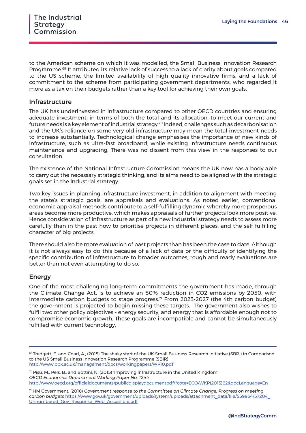<span id="page-46-0"></span>to the American scheme on which it was modelled, the Small Business Innovation Research Programme.<sup>69</sup> It attributed its relative lack of success to a lack of clarity about goals compared to the US scheme, the limited availability of high quality innovative firms, and a lack of commitment to the scheme from participating government departments, who regarded it more as a tax on their budgets rather than a key tool for achieving their own goals.

#### Infrastructure

The UK has underinvested in infrastructure compared to other OECD countries and ensuring adequate investment, in terms of both the total and its allocation, to meet our current and future needs is a key element of industrial strategy.70 Indeed, challenges such as decarbonisation and the UK's reliance on some very old infrastructure may mean the total investment needs to increase substantially. Technological change emphasises the importance of new kinds of infrastructure, such as ultra-fast broadband, while existing infrastructure needs continuous maintenance and upgrading. There was no dissent from this view in the responses to our consultation.

The existence of the National Infrastructure Commission means the UK now has a body able to carry out the necessary strategic thinking, and its aims need to be aligned with the strategic goals set in the industrial strategy.

Two key issues in planning infrastructure investment, in addition to alignment with meeting the state's strategic goals, are appraisals and evaluations. As noted earlier, conventional economic appraisal methods contribute to a self-fulfilling dynamic whereby more prosperous areas become more productive, which makes appraisals of further projects look more positive. Hence consideration of infrastructure as part of a new industrial strategy needs to assess more carefully than in the past how to prioritise projects in different places, and the self-fulfilling character of big projects.

There should also be more evaluation of past projects than has been the case to date. Although it is not always easy to do this because of a lack of data or the difficulty of identifying the specific contribution of infrastructure to broader outcomes, rough and ready evaluations are better than not even attempting to do so.

#### Energy

One of the most challenging long-term commitments the government has made, through the Climate Change Act, is to achieve an 80% reduction in CO2 emissions by 2050, with intermediate carbon budgets to stage progress.<sup>71</sup> From 2023-2027 (the 4th carbon budget) the government is projected to begin missing these targets. The government also wishes to fulfil two other policy objectives - energy security, and energy that is affordable enough not to compromise economic growth. These goals are incompatible and cannot be simultaneously fulfilled with current technology.

<sup>69</sup> Tredgett, E. and Coad, A., (2015) The shaky start of the UK Small Business Research Initiative (SBRI) in Comparison to the US Small Business Innovation Research Programme (SBIR) <http://www.bbk.ac.uk/management/docs/workingpapers/WP10.pdf>

<sup>70</sup> Pisu, M., Pels, B., and Bottini, N. (2015) 'Improving Infrastructure in the United Kingdom' *OECD Economics Department Working Paper No. 1244* [http://www.oecd.org/officialdocuments/publicdisplaydocumentpdf/?cote=ECO/WKP\(2015\)62&docLanguage=En](http://www.oecd.org/officialdocuments/publicdisplaydocumentpdf/?cote=ECO/WKP(2015)62&docLanguage=En) 

<sup>71</sup> HM Government, (2016) *Government response to the Committee on Climate Change: Progress on meeting carbon budgets* [https://www.gov.uk/government/uploads/system/uploads/attachment\\_data/file/559954/57204\\_](https://www.gov.uk/government/uploads/system/uploads/attachment_data/file/559954/57204_Unnumbered_Gov_Response_Web_Accessible.pdf) [Unnumbered\\_Gov\\_Response\\_Web\\_Accessible.pdf](https://www.gov.uk/government/uploads/system/uploads/attachment_data/file/559954/57204_Unnumbered_Gov_Response_Web_Accessible.pdf)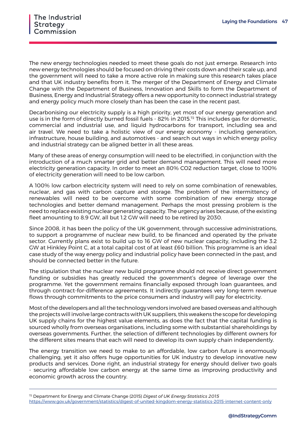The new energy technologies needed to meet these goals do not just emerge. Research into new energy technologies should be focused on driving their costs down and their scale up, and the government will need to take a more active role in making sure this research takes place and that UK industry benefits from it. The merger of the Department of Energy and Climate Change with the Department of Business, Innovation and Skills to form the Department of Business, Energy and Industrial Strategy offers a new opportunity to connect industrial strategy and energy policy much more closely than has been the case in the recent past.

Decarbonising our electricity supply is a high priority, yet most of our energy generation and use is in the form of directly burned fossil fuels - 82% in 2015.<sup>72</sup> This includes gas for domestic, commercial and industrial use, and liquid hydrocarbons for transport, including sea and air travel. We need to take a holistic view of our energy economy - including generation, infrastructure, house building, and automotives - and search out ways in which energy policy and industrial strategy can be aligned better in all these areas.

Many of these areas of energy consumption will need to be electrified, in conjunction with the introduction of a much smarter grid and better demand management. This will need more electricity generation capacity. In order to meet an 80% CO2 reduction target, close to 100% of electricity generation will need to be low carbon.

A 100% low carbon electricity system will need to rely on some combination of renewables, nuclear, and gas with carbon capture and storage. The problem of the intermittency of renewables will need to be overcome with some combination of new energy storage technologies and better demand management. Perhaps the most pressing problem is the need to replace existing nuclear generating capacity. The urgency arises because, of the existing fleet amounting to 8.9 GW, all but 1.2 GW will need to be retired by 2030.

Since 2008, it has been the policy of the UK government, through successive administrations, to support a programme of nuclear new build, to be financed and operated by the private sector. Currently plans exist to build up to 16 GW of new nuclear capacity, including the 3.2 GW at Hinkley Point C, at a total capital cost of at least £60 billion. This programme is an ideal case study of the way energy policy and industrial policy have been connected in the past, and should be connected better in the future.

The stipulation that the nuclear new build programme should not receive direct government funding or subsidies has greatly reduced the government's degree of leverage over the programme. Yet the government remains financially exposed through loan guarantees, and through contract-for-difference agreements. It indirectly guarantees very long-term revenue flows through commitments to the price consumers and industry will pay for electricity.

Most of the developers and all the technology vendors involved are based overseas and although the projects will involve large contracts with UK suppliers, this weakens the scope for developing UK supply chains for the highest value elements, as does the fact that the capital funding is sourced wholly from overseas organisations, including some with substantial shareholdings by overseas governments. Further, the selection of different technologies by different owners for the different sites means that each will need to develop its own supply chain independently.

The energy transition we need to make to an affordable, low carbon future is enormously challenging, yet it also offers huge opportunities for UK industry to develop innovative new products and services. Done right, an industrial strategy for energy should deliver two goals - securing affordable low carbon energy at the same time as improving productivity and economic growth across the country.

<sup>72</sup> Department for Energy and Climate Change (2015) *Digest of UK Energy Statistics 2015* <https://www.gov.uk/government/statistics/digest-of-united-kingdom-energy-statistics-2015-internet-content-only>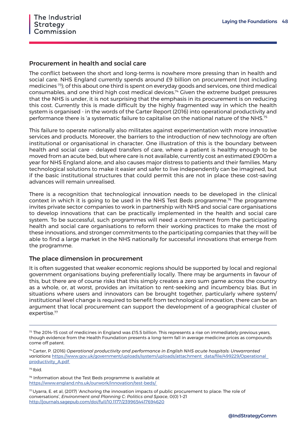#### Procurement in health and social care

The conflict between the short and long-terms is nowhere more pressing than in health and social care. NHS England currently spends around £9 billion on procurement (not including medicines 73); of this about one third is spent on everyday goods and services, one third medical consumables, and one third high cost medical devices.74 Given the extreme budget pressures that the NHS is under, it is not surprising that the emphasis in its procurement is on reducing this cost. Currently this is made difficult by the highly fragmented way in which the health system is organised - in the words of the Carter Report (2016) into operational productivity and performance there is 'a systematic failure to capitalise on the national nature of the NHS.75

This failure to operate nationally also militates against experimentation with more innovative services and products. Moreover, the barriers to the introduction of new technology are often institutional or organisational in character. One illustration of this is the boundary between health and social care - delayed transfers of care, where a patient is healthy enough to be moved from an acute bed, but where care is not available, currently cost an estimated £900m a year for NHS England alone, and also causes major distress to patients and their families. Many technological solutions to make it easier and safer to live independently can be imagined, but if the basic institutional structures that could permit this are not in place these cost-saving advances will remain unrealised.

There is a recognition that technological innovation needs to be developed in the clinical context in which it is going to be used in the NHS Test Beds programme.<sup>76</sup> The programme invites private sector companies to work in partnership with NHS and social care organisations to develop innovations that can be practically implemented in the health and social care system. To be successful, such programmes will need a commitment from the participating health and social care organisations to reform their working practices to make the most of these innovations, and stronger commitments to the participating companies that they will be able to find a large market in the NHS nationally for successful innovations that emerge from the programme.

#### The place dimension in procurement

It is often suggested that weaker economic regions should be supported by local and regional government organisations buying preferentially locally. There may be arguments in favour of this, but there are of course risks that this simply creates a zero sum game across the country as a whole, or, at worst, provides an invitation to rent-seeking and incumbency bias. But in situations where users and innovators can be brought together, particularly where system/ institutional level change is required to benefit from technological innovation, there can be an argument that local procurement can support the development of a geographical cluster of expertise.<sup>77</sup>

75 Ibid.

 $73$  The 2014-15 cost of medicines in England was £15.5 billion. This represents a rise on immediately previous years, though evidence from the Health Foundation presents a long-term fall in average medicine prices as compounds come off patent.

<sup>74</sup> Carter, P. (2016) *Operational productivity and performance in English NHS acute hospitals: Unwarranted*  variations [https://www.gov.uk/government/uploads/system/uploads/attachment\\_data/file/499229/Operational\\_](https://www.gov.uk/government/uploads/system/uploads/attachment_data/file/499229/Operational_productivity_A.pdf) [productivity\\_A.pdf](https://www.gov.uk/government/uploads/system/uploads/attachment_data/file/499229/Operational_productivity_A.pdf) 

<sup>76</sup> Information about the Test Beds programme is available at <https://www.england.nhs.uk/ourwork/innovation/test-beds/>

 $77$  Uyarra, E. et al, (2017) 'Anchoring the innovation impacts of public procurement to place: The role of conversations', *Environment and Planning C: Politics and Space*, 0(0) 1–21 <http://journals.sagepub.com/doi/full/10.1177/2399654417694620>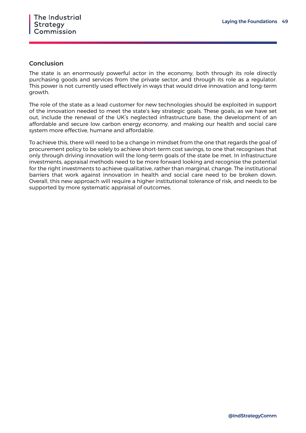#### Conclusion

The state is an enormously powerful actor in the economy, both through its role directly purchasing goods and services from the private sector, and through its role as a regulator. This power is not currently used effectively in ways that would drive innovation and long-term growth.

The role of the state as a lead customer for new technologies should be exploited in support of the innovation needed to meet the state's key strategic goals. These goals, as we have set out, include the renewal of the UK's neglected infrastructure base, the development of an affordable and secure low carbon energy economy, and making our health and social care system more effective, humane and affordable.

To achieve this, there will need to be a change in mindset from the one that regards the goal of procurement policy to be solely to achieve short-term cost savings, to one that recognises that only through driving innovation will the long-term goals of the state be met. In infrastructure investments, appraisal methods need to be more forward looking and recognise the potential for the right investments to achieve qualitative, rather than marginal, change. The institutional barriers that work against innovation in health and social care need to be broken down. Overall, this new approach will require a higher institutional tolerance of risk, and needs to be supported by more systematic appraisal of outcomes.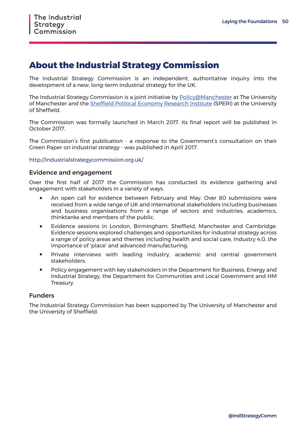### **About the Industrial Strategy Commission**

The Industrial Strategy Commission is an independent, authoritative inquiry into the development of a new, long-term industrial strategy for the UK.

The Industrial Strategy Commission is a joint initiative by [Policy@Manchester](https://www.policy.manchester.ac.uk) at The University of Manchester and the [Sheffield Political Economy Research Institute](http://speri.dept.shef.ac.uk/) (SPERI) at the University of Sheffield.

The Commission was formally launched in March 2017. Its final report will be published in October 2017.

The Commission's first publication - a response to the Government's consultation on their Green Paper on industrial strategy - was published in April 2017.

http://industrialstrategycommission.org.uk/

#### Evidence and engagement

Over the first half of 2017 the Commission has conducted its evidence gathering and engagement with stakeholders in a variety of ways.

- An open call for evidence between February and May. Over 80 submissions were received from a wide range of UK and international stakeholders including businesses and business organisations from a range of sectors and industries, academics, thinktanks and members of the public.
- Evidence sessions in London, Birmingham, Sheffield, Manchester and Cambridge. Evidence sessions explored challenges and opportunities for industrial strategy across a range of policy areas and themes including health and social care, Industry 4.0, the importance of 'place' and advanced manufacturing.
- Private interviews with leading industry, academic and central government stakeholders.
- Policy engagement with key stakeholders in the Department for Business, Energy and Industrial Strategy, the Department for Communities and Local Government and HM Treasury.

#### Funders

The Industrial Strategy Commission has been supported by The University of Manchester and the University of Sheffield.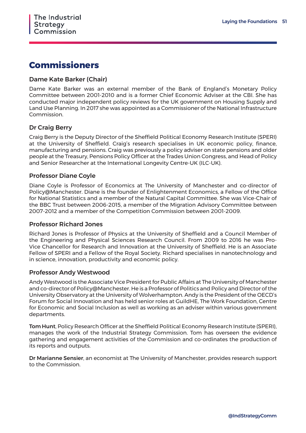### **Commissioners**

#### Dame Kate Barker (Chair)

Dame Kate Barker was an external member of the Bank of England's Monetary Policy Committee between 2001-2010 and is a former Chief Economic Adviser at the CBI. She has conducted major independent policy reviews for the UK government on Housing Supply and Land Use Planning. In 2017 she was appointed as a Commissioner of the National Infrastructure Commission.

#### Dr Craig Berry

Craig Berry is the Deputy Director of the Sheffield Political Economy Research Institute (SPERI) at the University of Sheffield. Craig's research specialises in UK economic policy, finance, manufacturing and pensions. Craig was previously a policy adviser on state pensions and older people at the Treasury, Pensions Policy Officer at the Trades Union Congress, and Head of Policy and Senior Researcher at the International Longevity Centre-UK (ILC-UK).

#### Professor Diane Coyle

Diane Coyle is Professor of Economics at The University of Manchester and co-director of Policy@Manchester. Diane is the founder of Enlightenment Economics, a Fellow of the Office for National Statistics and a member of the Natural Capital Committee. She was Vice-Chair of the BBC Trust between 2006-2015, a member of the Migration Advisory Committee between 2007-2012 and a member of the Competition Commission between 2001-2009.

#### Professor Richard Jones

Richard Jones is Professor of Physics at the University of Sheffield and a Council Member of the Engineering and Physical Sciences Research Council. From 2009 to 2016 he was Pro-Vice Chancellor for Research and Innovation at the University of Sheffield. He is an Associate Fellow of SPERI and a Fellow of the Royal Society. Richard specialises in nanotechnology and in science, innovation, productivity and economic policy.

#### Professor Andy Westwood

Andy Westwood is the Associate Vice President for Public Affairs at The University of Manchester and co-director of Policy@Manchester. He is a Professor of Politics and Policy and Director of the University Observatory at the University of Wolverhampton. Andy is the President of the OECD's Forum for Social Innovation and has held senior roles at GuildHE, The Work Foundation, Centre for Economic and Social Inclusion as well as working as an adviser within various government departments.

Tom Hunt, Policy Research Officer at the Sheffield Political Economy Research Institute (SPERI), manages the work of the Industrial Strategy Commission. Tom has overseen the evidence gathering and engagement activities of the Commission and co-ordinates the production of its reports and outputs.

Dr Marianne Sensier, an economist at The University of Manchester, provides research support to the Commission.